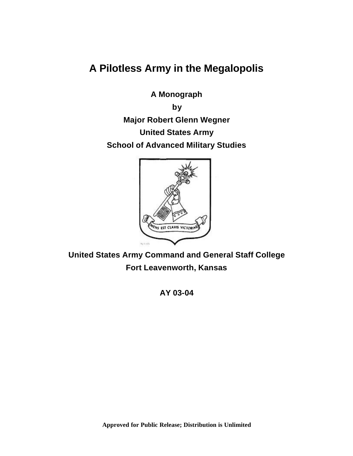**A Pilotless Army in the Megalopolis** 

**A Monograph** 

**by** 

**Major Robert Glenn Wegner United States Army School of Advanced Military Studies** 



**United States Army Command and General Staff College Fort Leavenworth, Kansas** 

**AY 03-04**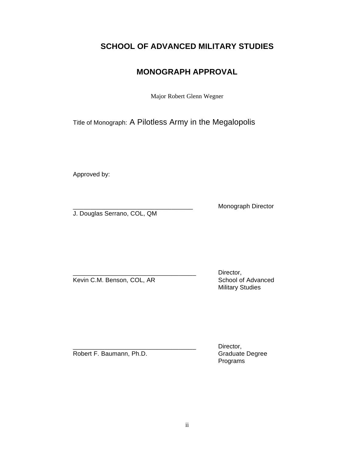# **SCHOOL OF ADVANCED MILITARY STUDIES**

# **MONOGRAPH APPROVAL**

Major Robert Glenn Wegner

Title of Monograph: A Pilotless Army in the Megalopolis

Approved by:

Monograph Director

J. Douglas Serrano, COL, QM

Kevin C.M. Benson, COL, AR School of Advanced

Director, Military Studies

Robert F. Baumann, Ph.D. Graduate Degree

Director, Programs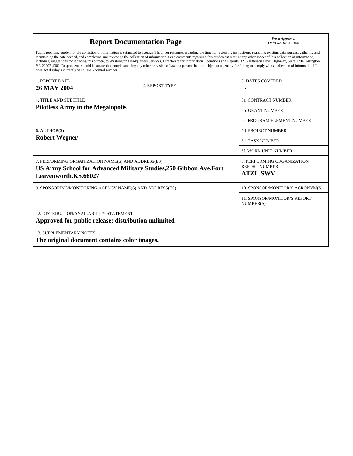| <b>Report Documentation Page</b>                                                                                                                                                                                                                                                                                                                                                                                                                                                                                                                                                                                                                                                                                                                                                                                                                                   | Form Approved<br>OMB No. 0704-0188 |                                                                       |  |
|--------------------------------------------------------------------------------------------------------------------------------------------------------------------------------------------------------------------------------------------------------------------------------------------------------------------------------------------------------------------------------------------------------------------------------------------------------------------------------------------------------------------------------------------------------------------------------------------------------------------------------------------------------------------------------------------------------------------------------------------------------------------------------------------------------------------------------------------------------------------|------------------------------------|-----------------------------------------------------------------------|--|
| Public reporting burden for the collection of information is estimated to average 1 hour per response, including the time for reviewing instructions, searching existing data sources, gathering and<br>maintaining the data needed, and completing and reviewing the collection of information. Send comments regarding this burden estimate or any other aspect of this collection of information,<br>including suggestions for reducing this burden, to Washington Headquarters Services, Directorate for Information Operations and Reports, 1215 Jefferson Davis Highway, Suite 1204, Arlington<br>VA 22202-4302. Respondents should be aware that notwithstanding any other provision of law, no person shall be subject to a penalty for failing to comply with a collection of information if it<br>does not display a currently valid OMB control number. |                                    |                                                                       |  |
| <b>1. REPORT DATE</b><br>2. REPORT TYPE<br><b>26 MAY 2004</b>                                                                                                                                                                                                                                                                                                                                                                                                                                                                                                                                                                                                                                                                                                                                                                                                      |                                    | <b>3. DATES COVERED</b>                                               |  |
| <b>4. TITLE AND SUBTITLE</b>                                                                                                                                                                                                                                                                                                                                                                                                                                                                                                                                                                                                                                                                                                                                                                                                                                       | 5a. CONTRACT NUMBER                |                                                                       |  |
| <b>Pilotless Army in the Megalopolis</b>                                                                                                                                                                                                                                                                                                                                                                                                                                                                                                                                                                                                                                                                                                                                                                                                                           |                                    | <b>5b. GRANT NUMBER</b>                                               |  |
|                                                                                                                                                                                                                                                                                                                                                                                                                                                                                                                                                                                                                                                                                                                                                                                                                                                                    |                                    | 5c. PROGRAM ELEMENT NUMBER                                            |  |
| $6.$ AUTHOR $(S)$<br><b>Robert Wegner</b>                                                                                                                                                                                                                                                                                                                                                                                                                                                                                                                                                                                                                                                                                                                                                                                                                          |                                    | 5d. PROJECT NUMBER                                                    |  |
|                                                                                                                                                                                                                                                                                                                                                                                                                                                                                                                                                                                                                                                                                                                                                                                                                                                                    |                                    | <b>5e. TASK NUMBER</b>                                                |  |
|                                                                                                                                                                                                                                                                                                                                                                                                                                                                                                                                                                                                                                                                                                                                                                                                                                                                    | 5f. WORK UNIT NUMBER               |                                                                       |  |
| 7. PERFORMING ORGANIZATION NAME(S) AND ADDRESS(ES)<br>US Army School for Advanced Military Studies, 250 Gibbon Ave, Fort<br>Leavenworth, KS, 66027                                                                                                                                                                                                                                                                                                                                                                                                                                                                                                                                                                                                                                                                                                                 |                                    | 8. PERFORMING ORGANIZATION<br><b>REPORT NUMBER</b><br><b>ATZL-SWV</b> |  |
| 9. SPONSORING/MONITORING AGENCY NAME(S) AND ADDRESS(ES)                                                                                                                                                                                                                                                                                                                                                                                                                                                                                                                                                                                                                                                                                                                                                                                                            |                                    | 10. SPONSOR/MONITOR'S ACRONYM(S)                                      |  |
|                                                                                                                                                                                                                                                                                                                                                                                                                                                                                                                                                                                                                                                                                                                                                                                                                                                                    |                                    | <b>11. SPONSOR/MONITOR'S REPORT</b><br>NUMBER(S)                      |  |
| 12. DISTRIBUTION/AVAILABILITY STATEMENT<br>Approved for public release; distribution unlimited                                                                                                                                                                                                                                                                                                                                                                                                                                                                                                                                                                                                                                                                                                                                                                     |                                    |                                                                       |  |
| <b>13. SUPPLEMENTARY NOTES</b><br>The original document contains color images.                                                                                                                                                                                                                                                                                                                                                                                                                                                                                                                                                                                                                                                                                                                                                                                     |                                    |                                                                       |  |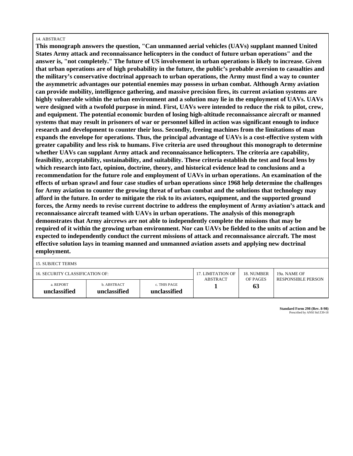#### 14. ABSTRACT

**This monograph answers the question, "Can unmanned aerial vehicles (UAVs) supplant manned United States Army attack and reconnaissance helicopters in the conduct of future urban operations" and the answer is, "not completely." The future of US involvement in urban operations is likely to increase. Given that urban operations are of high probability in the future, the public's probable aversion to casualties and the military's conservative doctrinal approach to urban operations, the Army must find a way to counter the asymmetric advantages our potential enemies may possess in urban combat. Although Army aviation can provide mobility, intelligence gathering, and massive precision fires, its current aviation systems are highly vulnerable within the urban environment and a solution may lie in the employment of UAVs. UAVs were designed with a twofold purpose in mind. First, UAVs were intended to reduce the risk to pilot, crew, and equipment. The potential economic burden of losing high-altitude reconnaissance aircraft or manned systems that may result in prisoners of war or personnel killed in action was significant enough to induce research and development to counter their loss. Secondly, freeing machines from the limitations of man expands the envelope for operations. Thus, the principal advantage of UAVs is a cost-effective system with greater capability and less risk to humans. Five criteria are used throughout this monograph to determine whether UAVs can supplant Army attack and reconnaissance helicopters. The criteria are capability, feasibility, acceptability, sustainability, and suitability. These criteria establish the test and focal lens by which research into fact, opinion, doctrine, theory, and historical evidence lead to conclusions and a recommendation for the future role and employment of UAVs in urban operations. An examination of the effects of urban sprawl and four case studies of urban operations since 1968 help determine the challenges for Army aviation to counter the growing threat of urban combat and the solutions that technology may afford in the future. In order to mitigate the risk to its aviators, equipment, and the supported ground forces, the Army needs to revise current doctrine to address the employment of Army aviation's attack and reconnaissance aircraft teamed with UAVs in urban operations. The analysis of this monograph demonstrates that Army aircrews are not able to independently complete the missions that may be required of it within the growing urban environment. Nor can UAVs be fielded to the units of action and be expected to independently conduct the current missions of attack and reconnaissance aircraft. The most effective solution lays in teaming manned and unmanned aviation assets and applying new doctrinal employment.** 

15. SUBJECT TERMS

| 16. SECURITY CLASSIFICATION OF: |              |              | 17. LIMITATION OF | 18. NUMBER | 19a. NAME OF              |
|---------------------------------|--------------|--------------|-------------------|------------|---------------------------|
|                                 |              |              | ABSTRACT          | OF PAGES   | <b>RESPONSIBLE PERSON</b> |
| a. REPORT                       | b. ABSTRACT  | c. THIS PAGE |                   | 63         |                           |
| unclassified                    | unclassified | unclassified |                   |            |                           |

**Standard Form 298 (Rev. 8-98)** Prescribed by ANSI Std Z39-18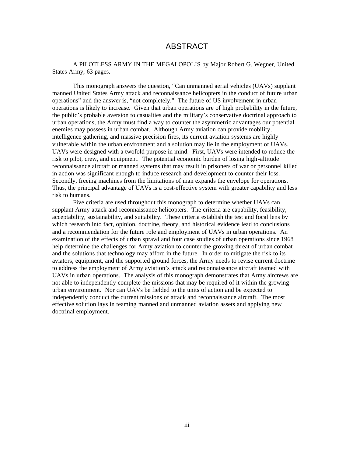## ABSTRACT

A PILOTLESS ARMY IN THE MEGALOPOLIS by Major Robert G. Wegner, United States Army, 63 pages.

This monograph answers the question, "Can unmanned aerial vehicles (UAVs) supplant manned United States Army attack and reconnaissance helicopters in the conduct of future urban operations" and the answer is, "not completely." The future of US involvement in urban operations is likely to increase. Given that urban operations are of high probability in the future, the public's probable aversion to casualties and the military's conservative doctrinal approach to urban operations, the Army must find a way to counter the asymmetric advantages our potential enemies may possess in urban combat. Although Army aviation can provide mobility, intelligence gathering, and massive precision fires, its current aviation systems are highly vulnerable within the urban environment and a solution may lie in the employment of UAVs. UAVs were designed with a twofold purpose in mind. First, UAVs were intended to reduce the risk to pilot, crew, and equipment. The potential economic burden of losing high-altitude reconnaissance aircraft or manned systems that may result in prisoners of war or personnel killed in action was significant enough to induce research and development to counter their loss. Secondly, freeing machines from the limitations of man expands the envelope for operations. Thus, the principal advantage of UAVs is a cost-effective system with greater capability and less risk to humans.

Five criteria are used throughout this monograph to determine whether UAVs can supplant Army attack and reconnaissance helicopters. The criteria are capability, feasibility, acceptability, sustainability, and suitability. These criteria establish the test and focal lens by which research into fact, opinion, doctrine, theory, and historical evidence lead to conclusions and a recommendation for the future role and employment of UAVs in urban operations. An examination of the effects of urban sprawl and four case studies of urban operations since 1968 help determine the challenges for Army aviation to counter the growing threat of urban combat and the solutions that technology may afford in the future. In order to mitigate the risk to its aviators, equipment, and the supported ground forces, the Army needs to revise current doctrine to address the employment of Army aviation's attack and reconnaissance aircraft teamed with UAVs in urban operations. The analysis of this monograph demonstrates that Army aircrews are not able to independently complete the missions that may be required of it within the growing urban environment. Nor can UAVs be fielded to the units of action and be expected to independently conduct the current missions of attack and reconnaissance aircraft. The most effective solution lays in teaming manned and unmanned aviation assets and applying new doctrinal employment.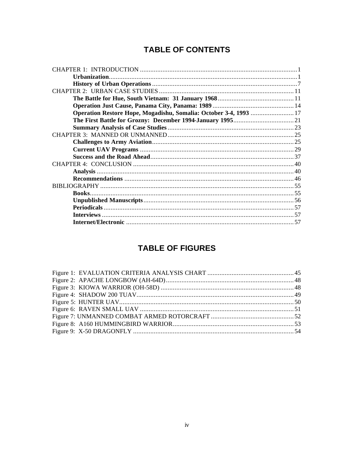# **TABLE OF CONTENTS**

| Operation Restore Hope, Mogadishu, Somalia: October 3-4, 1993  17 |  |
|-------------------------------------------------------------------|--|
|                                                                   |  |
|                                                                   |  |
|                                                                   |  |
|                                                                   |  |
|                                                                   |  |
|                                                                   |  |
|                                                                   |  |
|                                                                   |  |
|                                                                   |  |
|                                                                   |  |
|                                                                   |  |
|                                                                   |  |
|                                                                   |  |
|                                                                   |  |
|                                                                   |  |
|                                                                   |  |

# **TABLE OF FIGURES**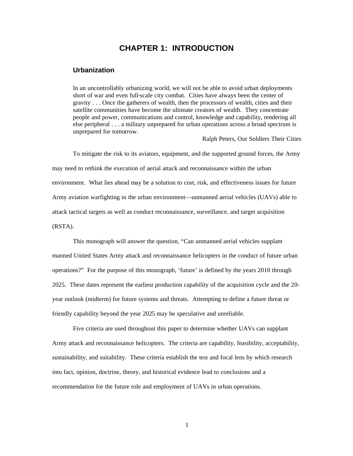## **CHAPTER 1: INTRODUCTION**

## **Urbanization**

In an uncontrollably urbanizing world, we will not be able to avoid urban deployments short of war and even full-scale city combat. Cities have always been the center of gravity . . . Once the gatherers of wealth, then the processors of wealth, cities and their satellite communities have become the ultimate creators of wealth. They concentrate people and power, communications and control, knowledge and capability, rendering all else peripheral . . . a military unprepared for urban operations across a broad spectrum is unprepared for tomorrow.

Ralph Peters, Our Soldiers Their Cities

To mitigate the risk to its aviators, equipment, and the supported ground forces, the Army may need to rethink the execution of aerial attack and reconnaissance within the urban environment. What lies ahead may be a solution to cost, risk, and effectiveness issues for future Army aviation warfighting in the urban environment—unmanned aerial vehicles (UAVs) able to attack tactical targets as well as conduct reconnaissance, surveillance, and target acquisition (RSTA).

This monograph will answer the question, "Can unmanned aerial vehicles supplant manned United States Army attack and reconnaissance helicopters in the conduct of future urban operations?" For the purpose of this monograph, 'future' is defined by the years 2010 through 2025. These dates represent the earliest production capability of the acquisition cycle and the 20 year outlook (midterm) for future systems and threats. Attempting to define a future threat or friendly capability beyond the year 2025 may be speculative and unreliable.

Five criteria are used throughout this paper to determine whether UAVs can supplant Army attack and reconnaissance helicopters. The criteria are capability, feasibility, acceptability, sustainability, and suitability. These criteria establish the test and focal lens by which research into fact, opinion, doctrine, theory, and historical evidence lead to conclusions and a recommendation for the future role and employment of UAVs in urban operations.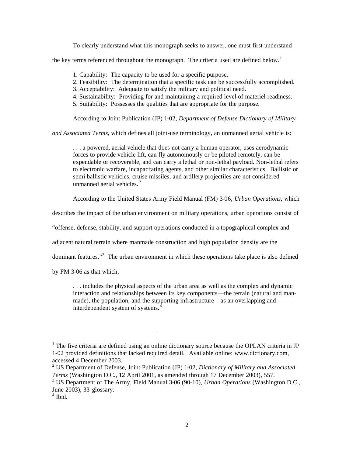To clearly understand what this monograph seeks to answer, one must first understand

the key terms referenced throughout the monograph. The criteria used are defined below.<sup>1</sup>

- 1. Capability: The capacity to be used for a specific purpose.
- 2. Feasibility: The determination that a specific task can be successfully accomplished.
- 3. Acceptability: Adequate to satisfy the military and political need.
- 4. Sustainability: Providing for and maintaining a required level of materiel readiness.
- 5. Suitability: Possesses the qualities that are appropriate for the purpose.

According to Joint Publication (JP) 1-02, *Department of Defense Dictionary of Military* 

*and Associated Terms*, which defines all joint-use terminology, an unmanned aerial vehicle is:

. . . a powered, aerial vehicle that does not carry a human operator, uses aerodynamic forces to provide vehicle lift, can fly autonomously or be piloted remotely, can be expendable or recoverable, and can carry a lethal or non-lethal payload. Non-lethal refers to electronic warfare, incapacitating agents, and other similar characteristics. Ballistic or semi-ballistic vehicles, cruise missiles, and artillery projectiles are not considered unmanned aerial vehicles.<sup>2</sup>

According to the United States Army Field Manual (FM) 3-06, *Urban Operations*, which

describes the impact of the urban environment on military operations, urban operations consist of

"offense, defense, stability, and support operations conducted in a topographical complex and

adjacent natural terrain where manmade construction and high population density are the

dominant features."<sup>3</sup> The urban environment in which these operations take place is also defined

by FM 3-06 as that which,

. . . includes the physical aspects of the urban area as well as the complex and dynamic interaction and relationships between its key components—the terrain (natural and manmade), the population, and the supporting infrastructure—as an overlapping and interdependent system of systems.<sup>4</sup>

 $<sup>1</sup>$  The five criteria are defined using an online dictionary source because the OPLAN criteria in JP</sup> 1-02 provided definitions that lacked required detail. Available online: www.dictionary.com, accessed 4 December 2003.

<sup>2</sup> US Department of Defense, Joint Publication (JP) 1-02, *Dictionary of Military and Associated Terms* (Washington D.C., 12 April 2001, as amended through 17 December 2003), 557.

<sup>3</sup> US Department of The Army, Field Manual 3-06 (90-10), *Urban Operations* (Washington D.C., June 2003), 33-glossary.

<sup>4</sup> Ibid.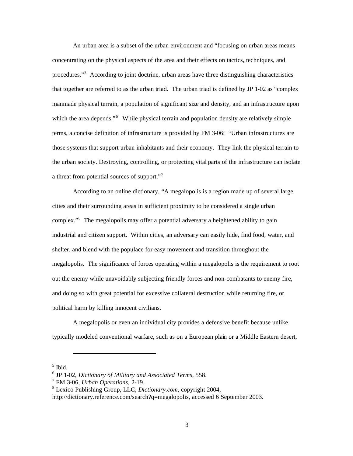An urban area is a subset of the urban environment and "focusing on urban areas means concentrating on the physical aspects of the area and their effects on tactics, techniques, and procedures."5 According to joint doctrine, urban areas have three distinguishing characteristics that together are referred to as the urban triad. The urban triad is defined by JP 1-02 as "complex manmade physical terrain, a population of significant size and density, and an infrastructure upon which the area depends."<sup>6</sup> While physical terrain and population density are relatively simple terms, a concise definition of infrastructure is provided by FM 3-06: "Urban infrastructures are those systems that support urban inhabitants and their economy. They link the physical terrain to the urban society. Destroying, controlling, or protecting vital parts of the infrastructure can isolate a threat from potential sources of support."<sup>7</sup>

According to an online dictionary, "A megalopolis is a region made up of several large cities and their surrounding areas in sufficient proximity to be considered a single urban complex."8 The megalopolis may offer a potential adversary a heightened ability to gain industrial and citizen support. Within cities, an adversary can easily hide, find food, water, and shelter, and blend with the populace for easy movement and transition throughout the megalopolis. The significance of forces operating within a megalopolis is the requirement to root out the enemy while unavoidably subjecting friendly forces and non-combatants to enemy fire, and doing so with great potential for excessive collateral destruction while returning fire, or political harm by killing innocent civilians.

A megalopolis or even an individual city provides a defensive benefit because unlike typically modeled conventional warfare, such as on a European plain or a Middle Eastern desert,

5 Ibid.

<sup>6</sup> JP 1-02, *Dictionary of Military and Associated Terms*, 558.

<sup>7</sup> FM 3-06, *Urban Operations*, 2-19.

<sup>8</sup> Lexico Publishing Group, LLC, *Dictionary.com*, copyright 2004,

http://dictionary.reference.com/search?q=megalopolis, accessed 6 September 2003.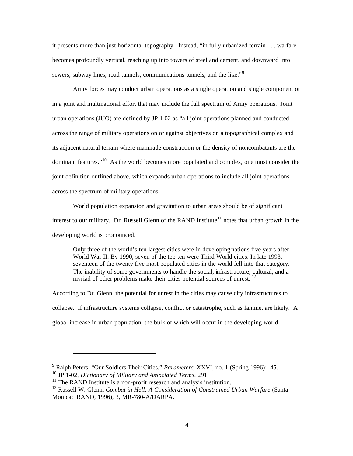it presents more than just horizontal topography. Instead, "in fully urbanized terrain . . . warfare becomes profoundly vertical, reaching up into towers of steel and cement, and downward into sewers, subway lines, road tunnels, communications tunnels, and the like."<sup>9</sup>

Army forces may conduct urban operations as a single operation and single component or in a joint and multinational effort that may include the full spectrum of Army operations. Joint urban operations (JUO) are defined by JP 1-02 as "all joint operations planned and conducted across the range of military operations on or against objectives on a topographical complex and its adjacent natural terrain where manmade construction or the density of noncombatants are the dominant features."<sup>10</sup> As the world becomes more populated and complex, one must consider the joint definition outlined above, which expands urban operations to include all joint operations across the spectrum of military operations.

World population expansion and gravitation to urban areas should be of significant interest to our military. Dr. Russell Glenn of the RAND Institute<sup>11</sup> notes that urban growth in the developing world is pronounced.

Only three of the world's ten largest cities were in developing nations five years after World War II. By 1990, seven of the top ten were Third World cities. In late 1993, seventeen of the twenty-five most populated cities in the world fell into that category. The inability of some governments to handle the social, infrastructure, cultural, and a myriad of other problems make their cities potential sources of unrest.<sup>12</sup>

According to Dr. Glenn, the potential for unrest in the cities may cause city infrastructures to collapse. If infrastructure systems collapse, conflict or catastrophe, such as famine, are likely. A global increase in urban population, the bulk of which will occur in the developing world,

<sup>9</sup> Ralph Peters, "Our Soldiers Their Cities," *Parameters*, XXVI, no. 1 (Spring 1996): 45.

<sup>10</sup> JP 1-02, *Dictionary of Military and Associated Terms*, 291.

 $11$  The RAND Institute is a non-profit research and analysis institution.

<sup>12</sup> Russell W. Glenn, *Combat in Hell: A Consideration of Constrained Urban Warfare* (Santa Monica: RAND, 1996), 3, MR-780-A/DARPA.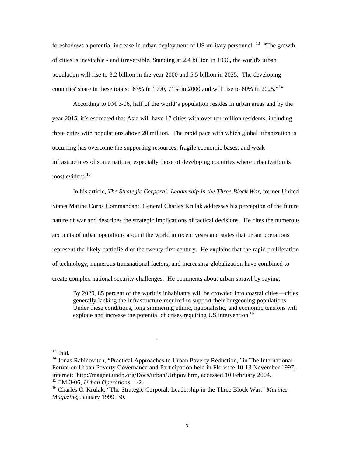foreshadows a potential increase in urban deployment of US military personnel. <sup>13</sup> "The growth of cities is inevitable - and irreversible. Standing at 2.4 billion in 1990, the world's urban population will rise to 3.2 billion in the year 2000 and 5.5 billion in 2025. The developing countries' share in these totals: 63% in 1990, 71% in 2000 and will rise to 80% in 2025."<sup>14</sup>

According to FM 3-06, half of the world's population resides in urban areas and by the year 2015, it's estimated that Asia will have 17 cities with over ten million residents, including three cities with populations above 20 million. The rapid pace with which global urbanization is occurring has overcome the supporting resources, fragile economic bases, and weak infrastructures of some nations, especially those of developing countries where urbanization is most evident. 15

In his article, *The Strategic Corporal: Leadership in the Three Block War*, former United States Marine Corps Commandant, General Charles Krulak addresses his perception of the future nature of war and describes the strategic implications of tactical decisions. He cites the numerous accounts of urban operations around the world in recent years and states that urban operations represent the likely battlefield of the twenty-first century. He explains that the rapid proliferation of technology, numerous transnational factors, and increasing globalization have combined to create complex national security challenges. He comments about urban sprawl by saying:

By 2020, 85 percent of the world's inhabitants will be crowded into coastal cities—cities generally lacking the infrastructure required to support their burgeoning populations. Under these conditions, long simmering ethnic, nationalistic, and economic tensions will explode and increase the potential of crises requiring US intervention.<sup>16</sup>

 $13$  Ibid.

<sup>&</sup>lt;sup>14</sup> Jonas Rabinovitch, "Practical Approaches to Urban Poverty Reduction," in The International Forum on Urban Poverty Governance and Participation held in Florence 10-13 November 1997, internet: http://magnet.undp.org/Docs/urban/Urbpov.htm, accessed 10 February 2004. 15 FM 3-06, *Urban Operations*, 1-2.

<sup>16</sup> Charles C. Krulak, "The Strategic Corporal: Leadership in the Three Block War," *Marines Magazine*, January 1999. 30.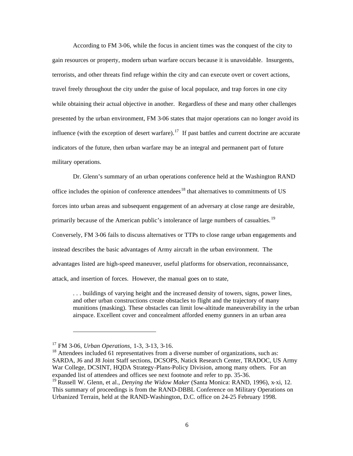According to FM 3-06, while the focus in ancient times was the conquest of the city to gain resources or property, modern urban warfare occurs because it is unavoidable. Insurgents, terrorists, and other threats find refuge within the city and can execute overt or covert actions, travel freely throughout the city under the guise of local populace, and trap forces in one city while obtaining their actual objective in another. Regardless of these and many other challenges presented by the urban environment, FM 3-06 states that major operations can no longer avoid its influence (with the exception of desert warfare).<sup>17</sup> If past battles and current doctrine are accurate indicators of the future, then urban warfare may be an integral and permanent part of future military operations.

Dr. Glenn's summary of an urban operations conference held at the Washington RAND office includes the opinion of conference attendees<sup>18</sup> that alternatives to commitments of US forces into urban areas and subsequent engagement of an adversary at close range are desirable, primarily because of the American public's intolerance of large numbers of casualties. 19 Conversely, FM 3-06 fails to discuss alternatives or TTPs to close range urban engagements and instead describes the basic advantages of Army aircraft in the urban environment. The advantages listed are high-speed maneuver, useful platforms for observation, reconnaissance, attack, and insertion of forces. However, the manual goes on to state,

. . . buildings of varying height and the increased density of towers, signs, power lines, and other urban constructions create obstacles to flight and the trajectory of many munitions (masking). These obstacles can limit low-altitude maneuverability in the urban airspace. Excellent cover and concealment afforded enemy gunners in an urban area

<sup>17</sup> FM 3-06, *Urban Operations*, 1-3, 3-13, 3-16.

<sup>&</sup>lt;sup>18</sup> Attendees included 61 representatives from a diverse number of organizations, such as: SARDA, J6 and J8 Joint Staff sections, DCSOPS, Natick Research Center, TRADOC, US Army War College, DCSINT, HQDA Strategy-Plans-Policy Division, among many others. For an expanded list of attendees and offices see next footnote and refer to pp. 35-36.

<sup>&</sup>lt;sup>19</sup> Russell W. Glenn, et al., *Denying the Widow Maker* (Santa Monica: RAND, 1996), x-xi, 12. This summary of proceedings is from the RAND-DBBL Conference on Military Operations on Urbanized Terrain, held at the RAND-Washington, D.C. office on 24-25 February 1998.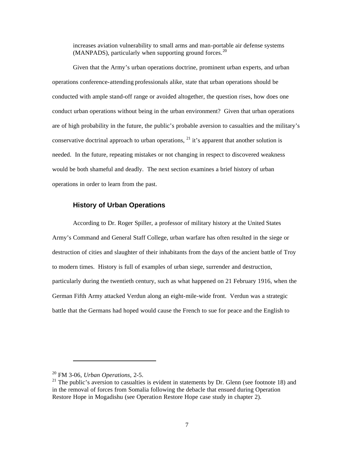increases aviation vulnerability to small arms and man-portable air defense systems  $(MANPADS)$ , particularly when supporting ground forces.<sup>20</sup>

Given that the Army's urban operations doctrine, prominent urban experts, and urban operations conference-attending professionals alike, state that urban operations should be conducted with ample stand-off range or avoided altogether, the question rises, how does one conduct urban operations without being in the urban environment? Given that urban operations are of high probability in the future, the public's probable aversion to casualties and the military's conservative doctrinal approach to urban operations,  $^{21}$  it's apparent that another solution is needed. In the future, repeating mistakes or not changing in respect to discovered weakness would be both shameful and deadly. The next section examines a brief history of urban operations in order to learn from the past.

## **History of Urban Operations**

According to Dr. Roger Spiller, a professor of military history at the United States Army's Command and General Staff College, urban warfare has often resulted in the siege or destruction of cities and slaughter of their inhabitants from the days of the ancient battle of Troy to modern times. History is full of examples of urban siege, surrender and destruction, particularly during the twentieth century, such as what happened on 21 February 1916, when the German Fifth Army attacked Verdun along an eight-mile-wide front. Verdun was a strategic battle that the Germans had hoped would cause the French to sue for peace and the English to

<sup>20</sup> FM 3-06, *Urban Operations*, 2-5.

 $21$  The public's aversion to casualties is evident in statements by Dr. Glenn (see footnote 18) and in the removal of forces from Somalia following the debacle that ensued during Operation Restore Hope in Mogadishu (see Operation Restore Hope case study in chapter 2).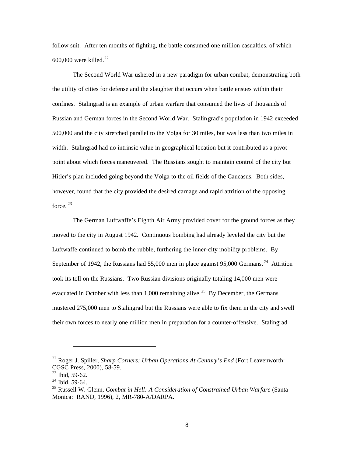follow suit. After ten months of fighting, the battle consumed one million casualties, of which  $600,000$  were killed.<sup>22</sup>

The Second World War ushered in a new paradigm for urban combat, demonstrating both the utility of cities for defense and the slaughter that occurs when battle ensues within their confines. Stalingrad is an example of urban warfare that consumed the lives of thousands of Russian and German forces in the Second World War. Stalin grad's population in 1942 exceeded 500,000 and the city stretched parallel to the Volga for 30 miles, but was less than two miles in width. Stalingrad had no intrinsic value in geographical location but it contributed as a pivot point about which forces maneuvered. The Russians sought to maintain control of the city but Hitler's plan included going beyond the Volga to the oil fields of the Caucasus. Both sides, however, found that the city provided the desired carnage and rapid attrition of the opposing force.  $^{23}$ 

The German Luftwaffe's Eighth Air Army provided cover for the ground forces as they moved to the city in August 1942. Continuous bombing had already leveled the city but the Luftwaffe continued to bomb the rubble, furthering the inner-city mobility problems. By September of 1942, the Russians had 55,000 men in place against 95,000 Germans.<sup>24</sup> Attrition took its toll on the Russians. Two Russian divisions originally totaling 14,000 men were evacuated in October with less than  $1,000$  remaining alive.<sup>25</sup> By December, the Germans mustered 275,000 men to Stalingrad but the Russians were able to fix them in the city and swell their own forces to nearly one million men in preparation for a counter-offensive. Stalingrad

<sup>22</sup> Roger J. Spiller, *Sharp Corners: Urban Operations At Century's End* (Fort Leavenworth: CGSC Press, 2000), 58-59.

 $23$  Ibid, 59-62.

<sup>&</sup>lt;sup>24</sup> Ibid, 59-64.

<sup>25</sup> Russell W. Glenn, *Combat in Hell: A Consideration of Constrained Urban Warfare* (Santa Monica: RAND, 1996), 2, MR-780-A/DARPA.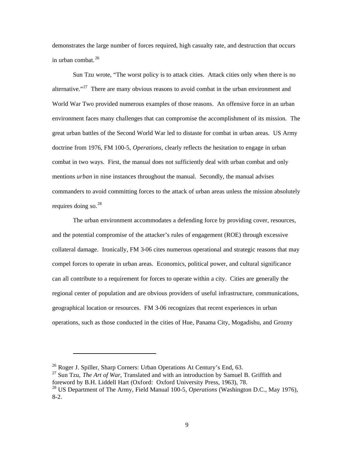demonstrates the large number of forces required, high casualty rate, and destruction that occurs in urban combat. 26

Sun Tzu wrote, "The worst policy is to attack cities. Attack cities only when there is no alternative."<sup>27</sup> There are many obvious reasons to avoid combat in the urban environment and World War Two provided numerous examples of those reasons. An offensive force in an urban environment faces many challenges that can compromise the accomplishment of its mission. The great urban battles of the Second World War led to distaste for combat in urban areas. US Army doctrine from 1976, FM 100-5, *Operations*, clearly reflects the hesitation to engage in urban combat in two ways. First, the manual does not sufficiently deal with urban combat and only mentions *urban* in nine instances throughout the manual. Secondly, the manual advises commanders to avoid committing forces to the attack of urban areas unless the mission absolutely requires doing so. $^{28}$ 

The urban environment accommodates a defending force by providing cover, resources, and the potential compromise of the attacker's rules of engagement (ROE) through excessive collateral damage. Ironically, FM 3-06 cites numerous operational and strategic reasons that may compel forces to operate in urban areas. Economics, political power, and cultural significance can all contribute to a requirement for forces to operate within a city. Cities are generally the regional center of population and are obvious providers of useful infrastructure, communications, geographical location or resources. FM 3-06 recognizes that recent experiences in urban operations, such as those conducted in the cities of Hue, Panama City, Mogadishu, and Grozny

<sup>&</sup>lt;sup>26</sup> Roger J. Spiller, Sharp Corners: Urban Operations At Century's End, 63.

<sup>&</sup>lt;sup>27</sup> Sun Tzu, *The Art of War*, Translated and with an introduction by Samuel B. Griffith and foreword by B.H. Liddell Hart (Oxford: Oxford University Press, 1963), 78.

<sup>&</sup>lt;sup>28</sup> US Department of The Army, Field Manual 100-5, *Operations* (Washington D.C., May 1976), 8-2.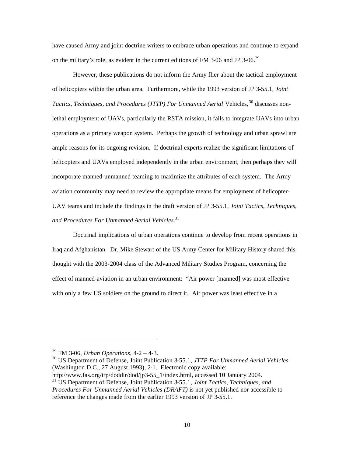have caused Army and joint doctrine writers to embrace urban operations and continue to expand on the military's role, as evident in the current editions of FM 3-06 and JP 3-06.<sup>29</sup>

However, these publications do not inform the Army flier about the tactical employment of helicopters within the urban area. Furthermore, while the 1993 version of JP 3-55.1, *Joint Tactics, Techniques, and Procedures (JTTP) For Unmanned Aerial Vehicles,*<sup>30</sup> discusses nonlethal employment of UAVs, particularly the RSTA mission, it fails to integrate UAVs into urban operations as a primary weapon system. Perhaps the growth of technology and urban sprawl are ample reasons for its ongoing revision. If doctrinal experts realize the significant limitations of helicopters and UAVs employed independently in the urban environment, then perhaps they will incorporate manned-unmanned teaming to maximize the attributes of each system. The Army aviation community may need to review the appropriate means for employment of helicopter-UAV teams and include the findings in the draft version of JP 3-55.1, *Joint Tactics, Techniques, and Procedures For Unmanned Aerial Vehicles*. 31

Doctrinal implications of urban operations continue to develop from recent operations in Iraq and Afghanistan. Dr. Mike Stewart of the US Army Center for Military History shared this thought with the 2003-2004 class of the Advanced Military Studies Program, concerning the effect of manned-aviation in an urban environment: "Air power [manned] was most effective with only a few US soldiers on the ground to direct it. Air power was least effective in a

http://www.fas.org/irp/doddir/dod/jp3-55\_1/index.html, accessed 10 January 2004. 31 US Department of Defense, Joint Publication 3-55.1, *Joint Tactics, Techniques, and Procedures For Unmanned Aerial Vehicles (DRAFT)* is not yet published nor accessible to reference the changes made from the earlier 1993 version of JP 3-55.1.

<sup>29</sup> FM 3-06, *Urban Operations*, 4-2 – 4-3.

<sup>30</sup> US Department of Defense, Joint Publication 3-55.1, *JTTP For Unmanned Aerial Vehicles* (Washington D.C., 27 August 1993), 2-1. Electronic copy available: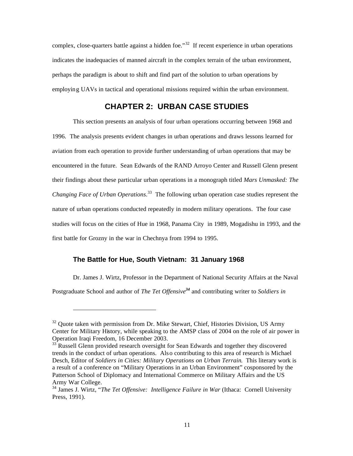complex, close-quarters battle against a hidden foe."<sup>32</sup> If recent experience in urban operations indicates the inadequacies of manned aircraft in the complex terrain of the urban environment, perhaps the paradigm is about to shift and find part of the solution to urban operations by employin g UAVs in tactical and operational missions required within the urban environment.

## **CHAPTER 2: URBAN CASE STUDIES**

This section presents an analysis of four urban operations occurring between 1968 and 1996. The analysis presents evident changes in urban operations and draws lessons learned for aviation from each operation to provide further understanding of urban operations that may be encountered in the future. Sean Edwards of the RAND Arroyo Center and Russell Glenn present their findings about these particular urban operations in a monograph titled *Mars Unmasked: The Changing Face of Urban Operations*. 33 The following urban operation case studies represent the nature of urban operations conducted repeatedly in modern military operations. The four case studies will focus on the cities of Hue in 1968, Panama City in 1989, Mogadishu in 1993, and the first battle for Grozny in the war in Chechnya from 1994 to 1995.

## **The Battle for Hue, South Vietnam: 31 January 1968**

Dr. James J. Wirtz, Professor in the Department of National Security Affairs at the Naval

Postgraduate School and author of *The Tet Offensive<sup>34</sup>* and contributing writer to *Soldiers in* 

 $32$  Quote taken with permission from Dr. Mike Stewart, Chief, Histories Division, US Army Center for Military History, while speaking to the AMSP class of 2004 on the role of air power in Operation Iraqi Freedom, 16 December 2003.

 $33 \textsuperscript{33}$  Russell Glenn provided research oversight for Sean Edwards and together they discovered trends in the conduct of urban operations. Als o contributing to this area of research is Michael Desch, Editor of *Soldiers in Cities: Military Operations on Urban Terrain*. This literary work is a result of a conference on "Military Operations in an Urban Environment" cosponsored by the Patterson School of Diplomacy and International Commerce on Military Affairs and the US Army War College.

<sup>34</sup> James J. Wirtz, "*The Tet Offensive: Intelligence Failure in War* (Ithaca: Cornell University Press, 1991).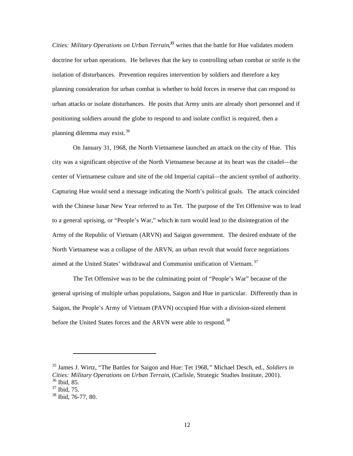Cities: Military Operations on Urban Terrain,<sup>35</sup> writes that the battle for Hue validates modern doctrine for urban operations. He believes that the key to controlling urban combat or strife is the isolation of disturbances. Prevention requires intervention by soldiers and therefore a key planning consideration for urban combat is whether to hold forces in reserve that can respond to urban attacks or isolate disturbances. He posits that Army units are already short personnel and if positioning soldiers around the globe to respond to and isolate conflict is required, then a planning dilemma may exist. 36

On January 31, 1968, the North Vietnamese launched an attack on the city of Hue. This city was a significant objective of the North Vietnamese because at its heart was the citadel—the center of Vietnamese culture and site of the old Imperial capital—the ancient symbol of authority. Capturing Hue would send a message indicating the North's political goals. The attack coincided with the Chinese lunar New Year referred to as Tet. The purpose of the Tet Offensive was to lead to a general uprising, or "People's War," which in turn would lead to the disintegration of the Army of the Republic of Vietnam (ARVN) and Saigon government. The desired endstate of the North Vietnamese was a collapse of the ARVN, an urban revolt that would force negotiations aimed at the United States' withdrawal and Communist unification of Vietnam. 37

The Tet Offensive was to be the culminating point of "People's War" because of the general uprising of multiple urban populations, Saigon and Hue in particular. Differently than in Saigon, the People's Army of Vietnam (PAVN) occupied Hue with a division-sized element before the United States forces and the ARVN were able to respond.<sup>38</sup>

<sup>35</sup> James J. Wirtz, "The Battles for Saigon and Hue: Tet 1968*,"* Michael Desch, ed., *Soldiers in Cities: Military Operations on Urban Terrain*, (Carlisle, Strategic Studies Institute, 2001).

<sup>36</sup> Ibid, 85. 37 Ibid, 75.

<sup>38</sup> Ibid, 76-77, 80.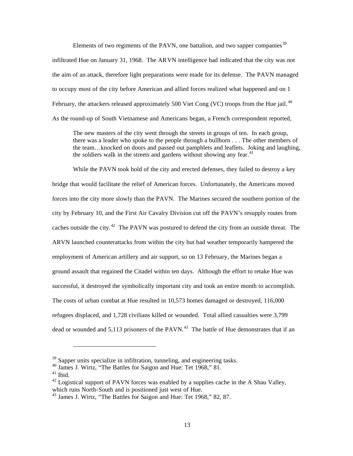Elements of two regiments of the PAVN, one battalion, and two sapper companies<sup>39</sup> infiltrated Hue on January 31, 1968. The AR VN intelligence had indicated that the city was not the aim of an attack, therefore light preparations were made for its defense. The PAVN managed to occupy most of the city before American and allied forces realized what happened and on 1 February, the attackers released approximately 500 Viet Cong (VC) troops from the Hue jail.<sup>40</sup> As the round-up of South Vietnamese and Americans began, a French correspondent reported,

The new masters of the city went through the streets in groups of ten. In each group, there was a leader who spoke to the people through a bullhorn . . . The other members of the team…knocked on doors and passed out pamphlets and leaflets. Joking and laughing, the soldiers walk in the streets and gardens without showing any fear.<sup>41</sup>

While the PAVN took hold of the city and erected defenses, they failed to destroy a key bridge that would facilitate the relief of American forces. Unfortunately, the Americans moved forces into the city more slowly than the PAVN. The Marines secured the southern portion of the city by February 10, and the First Air Cavalry Division cut off the PAVN's resupply routes from caches outside the city.<sup>42</sup> The PAVN was postured to defend the city from an outside threat. The ARVN launched counterattacks from within the city but bad weather temporarily hampered the employment of American artillery and air support, so on 13 February, the Marines began a ground assault that regained the Citadel within ten days. Although the effort to retake Hue was successful, it destroyed the symbolically important city and took an entire month to accomplish. The costs of urban combat at Hue resulted in 10,573 homes damaged or destroyed, 116,000 refugees displaced, and 1,728 civilians killed or wounded. Total allied casualties were 3,799 dead or wounded and  $5,113$  prisoners of the PAVN.<sup>43</sup> The battle of Hue demonstrates that if an

 $39$  Sapper units specialize in infiltration, tunneling, and engineering tasks.

<sup>40</sup> James J. Wirtz, "The Battles for Saigon and Hue: Tet 1968," 81.

 $41$  Ibid.

 $^{42}$  Logistical support of PAVN forces was enabled by a supplies cache in the A Shau Valley, which runs North-South and is positioned just west of Hue.

<sup>&</sup>lt;sup>43</sup> James J. Wirtz, "The Battles for Saigon and Hue: Tet 1968," 82, 87.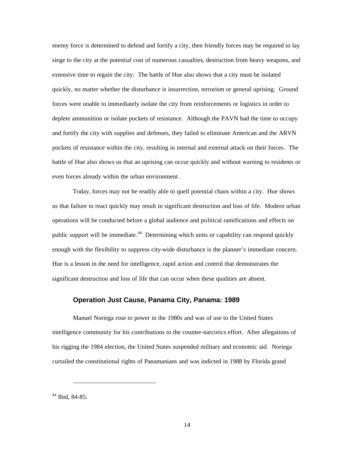enemy force is determined to defend and fortify a city, then friendly forces may be required to lay siege to the city at the potential cost of numerous casualties, destruction from heavy weapons, and extensive time to regain the city. The battle of Hue also shows that a city must be isolated quickly, no matter whether the disturbance is insurrection, terrorism or general uprising. Ground forces were unable to immediately isolate the city from reinforcements or logistics in order to deplete ammunition or isolate pockets of resistance. Although the PAVN had the time to occupy and fortify the city with supplies and defenses, they failed to eliminate American and the ARVN pockets of resistance within the city, resulting in internal and external attack on their forces. The battle of Hue also shows us that an uprising can occur quickly and without warning to residents or even forces already within the urban environment.

Today, forces may not be readily able to quell potential chaos within a city. Hue shows us that failure to react quickly may result in significant destruction and loss of life. Modern urban operations will be conducted before a global audience and political ramifications and effects on public support will be immediate.<sup>44</sup> Determining which units or capability can respond quickly enough with the flexibility to suppress city-wide disturbance is the planner's immediate concern. Hue is a lesson in the need for intelligence, rapid action and control that demonstrates the significant destruction and loss of life that can occur when these qualities are absent.

#### **Operation Just Cause, Panama City, Panama: 1989**

Manuel Noriega rose to power in the 1980s and was of use to the United States intelligence community for his contributions to the counter-narcotics effort. After allegations of his rigging the 1984 election, the United States suspended military and economic aid. Noriega curtailed the constitutional rights of Panamanians and was indicted in 1988 by Florida grand

44 Ibid, 84-85.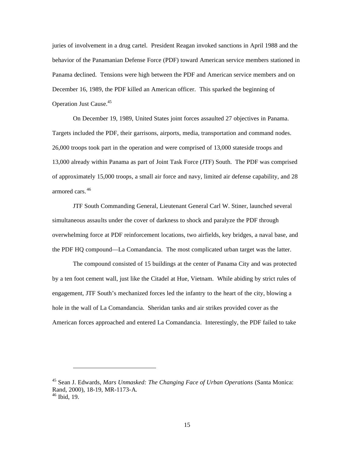juries of involvement in a drug cartel. President Reagan invoked sanctions in April 1988 and the behavior of the Panamanian Defense Force (PDF) toward American service members stationed in Panama declined. Tensions were high between the PDF and American service members and on December 16, 1989, the PDF killed an American officer. This sparked the beginning of Operation Just Cause.<sup>45</sup>

On December 19, 1989, United States joint forces assaulted 27 objectives in Panama. Targets included the PDF, their garrisons, airports, media, transportation and command nodes. 26,000 troops took part in the operation and were comprised of 13,000 stateside troops and 13,000 already within Panama as part of Joint Task Force (JTF) South. The PDF was comprised of approximately 15,000 troops, a small air force and navy, limited air defense capability, and 28 armored cars. 46

JTF South Commanding General, Lieutenant General Carl W. Stiner, launched several simultaneous assaults under the cover of darkness to shock and paralyze the PDF through overwhelming force at PDF reinforcement locations, two airfields, key bridges, a naval base, and the PDF HQ compound—La Comandancia. The most complicated urban target was the latter.

The compound consisted of 15 buildings at the center of Panama City and was protected by a ten foot cement wall, just like the Citadel at Hue, Vietnam. While abiding by strict rules of engagement, JTF South's mechanized forces led the infantry to the heart of the city, blowing a hole in the wall of La Comandancia. Sheridan tanks and air strikes provided cover as the American forces approached and entered La Comandancia. Interestingly, the PDF failed to take

<sup>45</sup> Sean J. Edwards, *Mars Unmasked: The Changing Face of Urban Operations* (Santa Monica: Rand, 2000), 18-19, MR-1173-A.  $46$  Ibid, 19.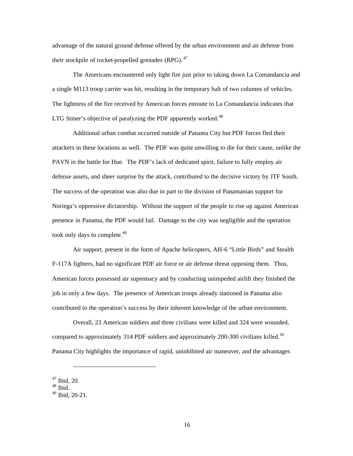advantage of the natural ground defense offered by the urban environment and air defense from their stockpile of rocket-propelled grenades  $(RPG)$ .  $47$ 

The Americans encountered only light fire just prior to taking down La Comandancia and a single M113 troop carrier was hit, resulting in the temporary halt of two columns of vehicles. The lightness of the fire received by American forces enroute to La Comandancia indicates that LTG Stiner's objective of paralyzing the PDF apparently worked. $48$ 

Additional urban combat occurred outside of Panama City but PDF forces fled their attackers in these locations as well. The PDF was quite unwilling to die for their cause, unlike the PAVN in the battle for Hue. The PDF's lack of dedicated spirit, failure to fully employ air defense assets, and sheer surprise by the attack, contributed to the decisive victory by JTF South. The success of the operation was also due in part to the division of Panamanian support for Noriega's oppressive dictatorship. Without the support of the people to rise up against American presence in Panama, the PDF would fail. Damage to the city was negligible and the operation took only days to complete.<sup>49</sup>

Air support, present in the form of Apache helicopters, AH-6 "Little Birds" and Stealth F-117A fighters, had no significant PDF air force or air defense threat opposing them. Thus, American forces possessed air supremacy and by conducting unimpeded airlift they finished the job in only a few days. The presence of American troops already stationed in Panama also contributed to the operation's success by their inherent knowledge of the urban environment.

Overall, 23 American soldiers and three civilians were killed and 324 were wounded, compared to approximately 314 PDF soldiers and approximately 200-300 civilians killed.<sup>50</sup> Panama City highlights the importance of rapid, uninhibited air maneuver, and the advantages

<sup>47</sup> Ibid, 20.

<sup>48</sup> Ibid.

<sup>49</sup> Ibid, 20-21.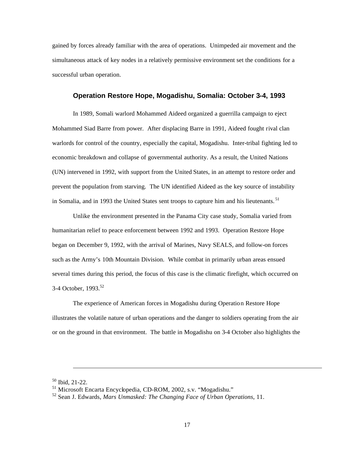gained by forces already familiar with the area of operations. Unimpeded air movement and the simultaneous attack of key nodes in a relatively permissive environment set the conditions for a successful urban operation.

## **Operation Restore Hope, Mogadishu, Somalia: October 3-4, 1993**

In 1989, Somali warlord Mohammed Aideed organized a guerrilla campaign to eject Mohammed Siad Barre from power. After displacing Barre in 1991, Aideed fought rival clan warlords for control of the country, especially the capital, Mogadishu. Inter-tribal fighting led to economic breakdown and collapse of governmental authority. As a result, the United Nations (UN) intervened in 1992, with support from the United States, in an attempt to restore order and prevent the population from starving. The UN identified Aideed as the key source of instability in Somalia, and in 1993 the United States sent troops to capture him and his lieutenants.<sup>51</sup>

Unlike the environment presented in the Panama City case study, Somalia varied from humanitarian relief to peace enforcement between 1992 and 1993. Operation Restore Hope began on December 9, 1992, with the arrival of Marines, Navy SEALS, and follow-on forces such as the Army's 10th Mountain Division. While combat in primarily urban areas ensued several times during this period, the focus of this case is the climatic firefight, which occurred on 3-4 October, 1993.<sup>52</sup>

The experience of American forces in Mogadishu during Operation Restore Hope illustrates the volatile nature of urban operations and the danger to soldiers operating from the air or on the ground in that environment. The battle in Mogadishu on 3-4 October also highlights the

 $50$  Ibid, 21-22.

<sup>51</sup> Microsoft Encarta Encyclopedia, CD-ROM, 2002, s.v. "Mogadishu."

<sup>52</sup> Sean J. Edwards, *Mars Unmasked: The Changing Face of Urban Operations*, 11.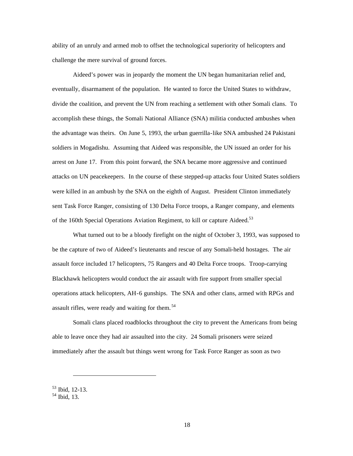ability of an unruly and armed mob to offset the technological superiority of helicopters and challenge the mere survival of ground forces.

Aideed's power was in jeopardy the moment the UN began humanitarian relief and, eventually, disarmament of the population. He wanted to force the United States to withdraw, divide the coalition, and prevent the UN from reaching a settlement with other Somali clans. To accomplish these things, the Somali National Alliance (SNA) militia conducted ambushes when the advantage was theirs. On June 5, 1993, the urban guerrilla-like SNA ambushed 24 Pakistani soldiers in Mogadishu. Assuming that Aideed was responsible, the UN issued an order for his arrest on June 17. From this point forward, the SNA became more aggressive and continued attacks on UN peacekeepers. In the course of these stepped-up attacks four United States soldiers were killed in an ambush by the SNA on the eighth of August. President Clinton immediately sent Task Force Ranger, consisting of 130 Delta Force troops, a Ranger company, and elements of the 160th Special Operations Aviation Regiment, to kill or capture Aideed.<sup>53</sup>

What turned out to be a bloody firefight on the night of October 3, 1993, was supposed to be the capture of two of Aideed's lieutenants and rescue of any Somali-held hostages. The air assault force included 17 helicopters, 75 Rangers and 40 Delta Force troops. Troop-carrying Blackhawk helicopters would conduct the air assault with fire support from smaller special operations attack helicopters, AH-6 gunships. The SNA and other clans, armed with RPGs and assault rifles, were ready and waiting for them. 54

Somali clans placed roadblocks throughout the city to prevent the Americans from being able to leave once they had air assaulted into the city. 24 Somali prisoners were seized immediately after the assault but things went wrong for Task Force Ranger as soon as two

<sup>53</sup> Ibid, 12-13.

<sup>54</sup> Ibid, 13.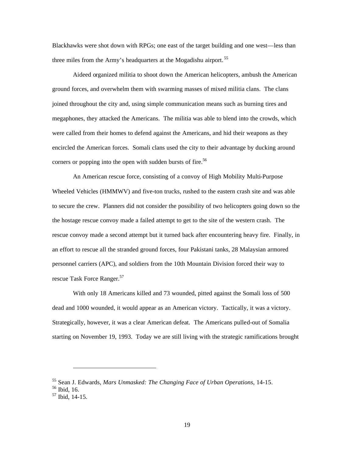Blackhawks were shot down with RPGs; one east of the target building and one west—less than three miles from the Army's headquarters at the Mogadishu airport.<sup>55</sup>

Aideed organized militia to shoot down the American helicopters, ambush the American ground forces, and overwhelm them with swarming masses of mixed militia clans. The clans joined throughout the city and, using simple communication means such as burning tires and megaphones, they attacked the Americans. The militia was able to blend into the crowds, which were called from their homes to defend against the Americans, and hid their weapons as they encircled the American forces. Somali clans used the city to their advantage by ducking around corners or popping into the open with sudden bursts of fire.<sup>56</sup>

An American rescue force, consisting of a convoy of High Mobility Multi-Purpose Wheeled Vehicles (HMMWV) and five-ton trucks, rushed to the eastern crash site and was able to secure the crew. Planners did not consider the possibility of two helicopters going down so the the hostage rescue convoy made a failed attempt to get to the site of the western crash. The rescue convoy made a second attempt but it turned back after encountering heavy fire. Finally, in an effort to rescue all the stranded ground forces, four Pakistani tanks, 28 Malaysian armored personnel carriers (APC), and soldiers from the 10th Mountain Division forced their way to rescue Task Force Ranger.<sup>57</sup>

With only 18 Americans killed and 73 wounded, pitted against the Somali loss of 500 dead and 1000 wounded, it would appear as an American victory. Tactically, it was a victory. Strategically, however, it was a clear American defeat. The Americans pulled-out of Somalia starting on November 19, 1993. Today we are still living with the strategic ramifications brought

<sup>55</sup> Sean J. Edwards, *Mars Unmasked: The Changing Face of Urban Operations*, 14-15.

<sup>56</sup> Ibid, 16.

<sup>57</sup> Ibid, 14-15.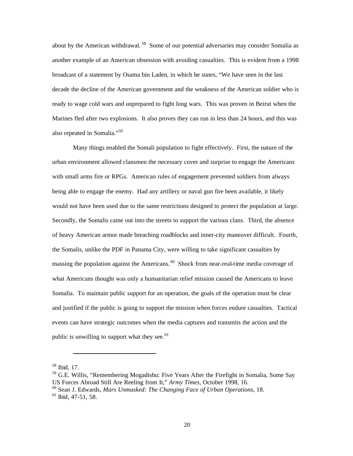about by the American withdrawal. 58 Some of our potential adversaries may consider Somalia as another example of an American obsession with avoiding casualties. This is evident from a 1998 broadcast of a statement by Osama bin Laden, in which he states, "We have seen in the last decade the decline of the American government and the weakness of the American soldier who is ready to wage cold wars and unprepared to fight long wars. This was proven in Beirut when the Marines fled after two explosions. It also proves they can run in less than 24 hours, and this was also repeated in Somalia."<sup>59</sup>

Many things enabled the Somali population to fight effectively. First, the nature of the urban environment allowed clansmen the necessary cover and surprise to engage the Americans with small arms fire or RPGs. American rules of engagement prevented soldiers from always being able to engage the enemy. Had any artillery or naval gun fire been available, it likely would not have been used due to the same restrictions designed to protect the population at large. Secondly, the Somalis came out into the streets to support the various clans. Third, the absence of heavy American armor made breaching roadblocks and inner-city maneuver difficult. Fourth, the Somalis, unlike the PDF in Panama City, were willing to take significant casualties by massing the population against the Americans.<sup>60</sup> Shock from near-real-time media coverage of what Americans thought was only a humanitarian relief mission caused the Americans to leave Somalia. To maintain public support for an operation, the goals of the operation must be clear and justified if the public is going to support the mission when forces endure casualties. Tactical events can have strategic outcomes when the media captures and transmits the action and the public is unwilling to support what they see. $61$ 

<sup>58</sup> Ibid, 17.

<sup>59</sup> G.E. Willis, "Remembering Mogadishu: Five Years After the Firefight in Somalia, Some Say US Forces Abroad Still Are Reeling from It," *Army Times*, October 1998, 16.

<sup>60</sup> Sean J. Edwards, *Mars Unmasked: The Changing Face of Urban Operations*, 18.

 $<sup>61</sup>$  Ibid, 47-51, 58.</sup>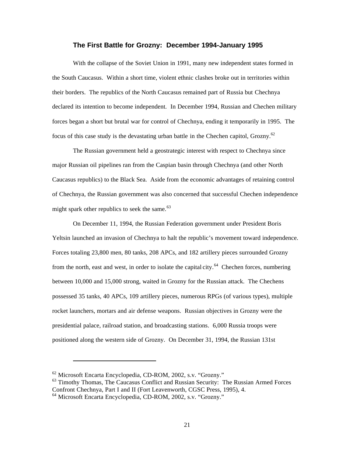## **The First Battle for Grozny: December 1994-January 1995**

With the collapse of the Soviet Union in 1991, many new independent states formed in the South Caucasus. Within a short time, violent ethnic clashes broke out in territories within their borders. The republics of the North Caucasus remained part of Russia but Chechnya declared its intention to become independent. In December 1994, Russian and Chechen military forces began a short but brutal war for control of Chechnya, ending it temporarily in 1995. The focus of this case study is the devastating urban battle in the Chechen capitol, Grozny.<sup>62</sup>

The Russian government held a geostrategic interest with respect to Chechnya since major Russian oil pipelines ran from the Caspian basin through Chechnya (and other North Caucasus republics) to the Black Sea. Aside from the economic advantages of retaining control of Chechnya, the Russian government was also concerned that successful Chechen independence might spark other republics to seek the same. $63$ 

On December 11, 1994, the Russian Federation government under President Boris Yeltsin launched an invasion of Chechnya to halt the republic's movement toward independence. Forces totaling 23,800 men, 80 tanks, 208 APCs, and 182 artillery pieces surrounded Grozny from the north, east and west, in order to isolate the capital city.<sup>64</sup> Chechen forces, numbering between 10,000 and 15,000 strong, waited in Grozny for the Russian attack. The Chechens possessed 35 tanks, 40 APCs, 109 artillery pieces, numerous RPGs (of various types), multiple rocket launchers, mortars and air defense weapons. Russian objectives in Grozny were the presidential palace, railroad station, and broadcasting stations. 6,000 Russia troops were positioned along the western side of Grozny. On December 31, 1994, the Russian 131st

<sup>62</sup> Microsoft Encarta Encyclopedia, CD-ROM, 2002, s.v. "Grozny."

 $63$  Timothy Thomas, The Caucasus Conflict and Russian Security: The Russian Armed Forces

Confront Chechnya, Part I and II (Fort Leavenworth, CGSC Press, 1995), 4.

<sup>64</sup> Microsoft Encarta Encyclopedia, CD-ROM, 2002, s.v. "Grozny."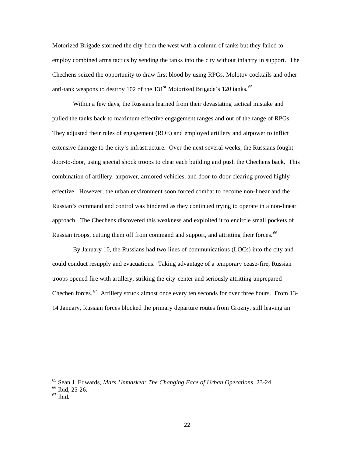Motorized Brigade stormed the city from the west with a column of tanks but they failed to employ combined arms tactics by sending the tanks into the city without infantry in support. The Chechens seized the opportunity to draw first blood by using RPGs, Molotov cocktails and other anti-tank weapons to destroy 102 of the  $131<sup>st</sup>$  Motorized Brigade's 120 tanks.  $<sup>65</sup>$ </sup>

Within a few days, the Russians learned from their devastating tactical mistake and pulled the tanks back to maximum effective engagement ranges and out of the range of RPGs. They adjusted their rules of engagement (ROE) and employed artillery and airpower to inflict extensive damage to the city's infrastructure. Over the next several weeks, the Russians fought door-to-door, using special shock troops to clear each building and push the Chechens back. This combination of artillery, airpower, armored vehicles, and door-to-door clearing proved highly effective. However, the urban environment soon forced combat to become non-linear and the Russian's command and control was hindered as they continued trying to operate in a non-linear approach. The Chechens discovered this weakness and exploited it to encircle small pockets of Russian troops, cutting them off from command and support, and attritting their forces. 66

By January 10, the Russians had two lines of communications (LOCs) into the city and could conduct resupply and evacuations. Taking advantage of a temporary cease-fire, Russian troops opened fire with artillery, striking the city-center and seriously attritting unprepared Chechen forces.<sup>67</sup> Artillery struck almost once every ten seconds for over three hours. From 13-14 January, Russian forces blocked the primary departure routes from Grozny, still leaving an

<sup>65</sup> Sean J. Edwards, *Mars Unmasked: The Changing Face of Urban Operations*, 23-24.

<sup>66</sup> Ibid, 25-26.

 $67$  Ibid.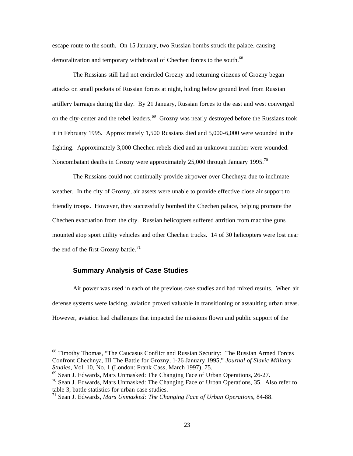escape route to the south. On 15 January, two Russian bombs struck the palace, causing demoralization and temporary withdrawal of Chechen forces to the south.<sup>68</sup>

The Russians still had not encircled Grozny and returning citizens of Grozny began attacks on small pockets of Russian forces at night, hiding below ground level from Russian artillery barrages during the day. By 21 January, Russian forces to the east and west converged on the city-center and the rebel leaders.<sup>69</sup> Grozny was nearly destroyed before the Russians took it in February 1995. Approximately 1,500 Russians died and 5,000-6,000 were wounded in the fighting. Approximately 3,000 Chechen rebels died and an unknown number were wounded. Noncombatant deaths in Grozny were approximately 25,000 through January 1995.<sup>70</sup>

The Russians could not continually provide airpower over Chechnya due to inclimate weather. In the city of Grozny, air assets were unable to provide effective close air support to friendly troops. However, they successfully bombed the Chechen palace, helping promote the Chechen evacuation from the city. Russian helicopters suffered attrition from machine guns mounted atop sport utility vehicles and other Chechen trucks. 14 of 30 helicopters were lost near the end of the first Grozny battle.<sup>71</sup>

## **Summary Analysis of Case Studies**

Air power was used in each of the previous case studies and had mixed results. When air defense systems were lacking, aviation proved valuable in transitioning or assaulting urban areas. However, aviation had challenges that impacted the missions flown and public support of the

<sup>&</sup>lt;sup>68</sup> Timothy Thomas, "The Caucasus Conflict and Russian Security: The Russian Armed Forces Confront Chechnya, III The Battle for Grozny, 1-26 January 1995," *Journal of Slavic Military Studies*, Vol. 10, No. 1 (London: Frank Cass, March 1997), 75.

<sup>69</sup> Sean J. Edwards, Mars Unmasked: The Changing Face of Urban Operations, 26-27.

 $^{70}$  Sean J. Edwards, Mars Unmasked: The Changing Face of Urban Operations, 35. Also refer to table 3, battle statistics for urban case studies.

<sup>71</sup> Sean J. Edwards, *Mars Unmasked: The Changing Face of Urban Operations*, 84-88.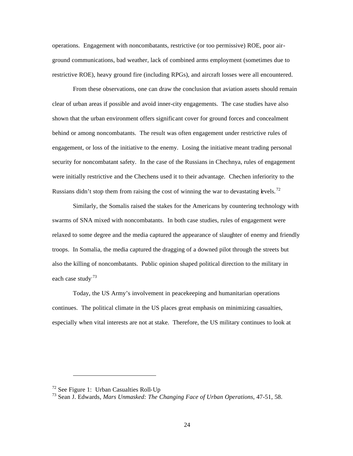operations. Engagement with noncombatants, restrictive (or too permissive) ROE, poor airground communications, bad weather, lack of combined arms employment (sometimes due to restrictive ROE), heavy ground fire (including RPGs), and aircraft losses were all encountered.

From these observations, one can draw the conclusion that aviation assets should remain clear of urban areas if possible and avoid inner-city engagements. The case studies have also shown that the urban environment offers significant cover for ground forces and concealment behind or among noncombatants. The result was often engagement under restrictive rules of engagement, or loss of the initiative to the enemy. Losing the initiative meant trading personal security for noncombatant safety. In the case of the Russians in Chechnya, rules of engagement were initially restrictive and the Chechens used it to their advantage. Chechen inferiority to the Russians didn't stop them from raising the cost of winning the war to devastating levels.<sup>72</sup>

Similarly, the Somalis raised the stakes for the Americans by countering technology with swarms of SNA mixed with noncombatants. In both case studies, rules of engagement were relaxed to some degree and the media captured the appearance of slaughter of enemy and friendly troops. In Somalia, the media captured the dragging of a downed pilot through the streets but also the killing of noncombatants. Public opinion shaped political direction to the military in each case study<sup>73</sup>

Today, the US Army's involvement in peacekeeping and humanitarian operations continues. The political climate in the US places great emphasis on minimizing casualties, especially when vital interests are not at stake. Therefore, the US military continues to look at

 $72$  See Figure 1: Urban Casualties Roll-Up

<sup>73</sup> Sean J. Edwards, *Mars Unmasked: The Changing Face of Urban Operations*, 47-51, 58.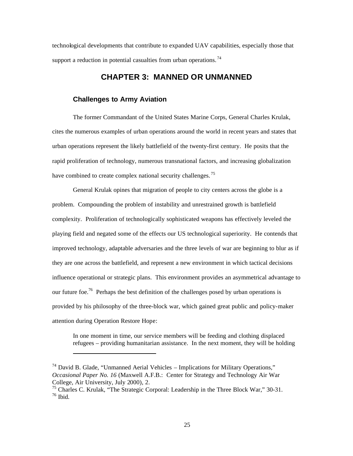technological developments that contribute to expanded UAV capabilities, especially those that support a reduction in potential casualties from urban operations.<sup>74</sup>

## **CHAPTER 3: MANNED OR UNMANNED**

#### **Challenges to Army Aviation**

The former Commandant of the United States Marine Corps, General Charles Krulak, cites the numerous examples of urban operations around the world in recent years and states that urban operations represent the likely battlefield of the twenty-first century. He posits that the rapid proliferation of technology, numerous transnational factors, and increasing globalization have combined to create complex national security challenges.<sup>75</sup>

General Krulak opines that migration of people to city centers across the globe is a problem. Compounding the problem of instability and unrestrained growth is battlefield complexity. Proliferation of technologically sophisticated weapons has effectively leveled the playing field and negated some of the effects our US technological superiority. He contends that improved technology, adaptable adversaries and the three levels of war are beginning to blur as if they are one across the battlefield, and represent a new environment in which tactical decisions influence operational or strategic plans. This environment provides an asymmetrical advantage to our future foe.<sup>76</sup> Perhaps the best definition of the challenges posed by urban operations is provided by his philosophy of the three-block war, which gained great public and policy-maker attention during Operation Restore Hope:

In one moment in time, our service members will be feeding and clothing displaced refugees – providing humanitarian assistance. In the next moment, they will be holding

<sup>&</sup>lt;sup>74</sup> David B. Glade, "Unmanned Aerial Vehicles – Implications for Military Operations," *Occasional Paper No. 16* (Maxwell A.F.B.: Center for Strategy and Technology Air War College, Air University, July 2000), 2.

<sup>&</sup>lt;sup>75</sup> Charles C. Krulak, "The Strategic Corporal: Leadership in the Three Block War," 30-31.  $76$  Ibid.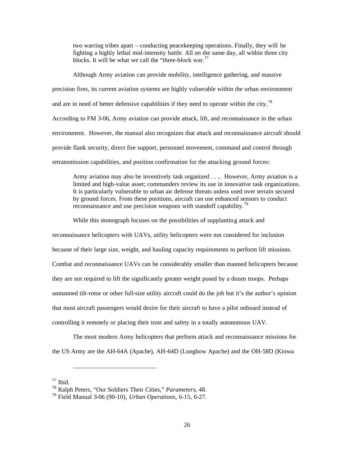two warring tribes apart – conducting peacekeeping operations. Finally, they will be fighting a highly lethal mid-intensity battle. All on the same day, all within three city blocks. It will be what we call the "three-block war.<sup>77</sup>

Although Army aviation can provide mobility, intelligence gathering, and massive precision fires, its current aviation systems are highly vulnerable within the urban environment and are in need of better defensive capabilities if they need to operate within the city.<sup>78</sup> According to FM 3-06, Army aviation can provide attack, lift, and reconnaissance in the urban environment. However, the manual also recognizes that attack and reconnaissance aircraft should provide flank security, direct fire support, personnel movement, command and control through retransmission capabilities, and position confirmation for the attacking ground forces:

Army aviation may also be inventively task organized . . .. However, Army aviation is a limited and high-value asset; commanders review its use in innovative task organizations. It is particularly vulnerable to urban air defense threats unless used over terrain secured by ground forces. From these positions, aircraft can use enhanced sensors to conduct reconnaissance and use precision weapons with standoff capability.<sup>79</sup>

While this monograph focuses on the possibilities of supplanting attack and

reconnaissance helicopters with UAVs, utility helicopters were not considered for inclusion because of their large size, weight, and hauling capacity requirements to perform lift missions. Combat and reconnaissance UAVs can be considerably smaller than manned helicopters because they are not required to lift the significantly greater weight posed by a dozen troops. Perhaps unmanned tilt-rotor or other full-size utility aircraft could do the job but it's the author's opinion that most aircraft passengers would desire for their aircraft to have a pilot onboard instead of controlling it remotely or placing their trust and safety in a totally autonomous UAV.

The most modern Army helicopters that perform attack and reconnaissance missions for the US Army are the AH-64A (Apache), AH-64D (Longbow Apache) and the OH-58D (Kiowa

 $77$  Ibid.

<sup>78</sup> Ralph Peters, "Our Soldiers Their Cities," *Parameters*, 48.

<sup>79</sup> Field Manual 3-06 (90-10), *Urban Operations*, 6-15, 6-27.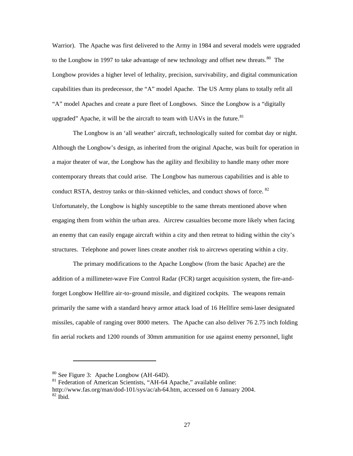Warrior). The Apache was first delivered to the Army in 1984 and several models were upgraded to the Longbow in 1997 to take advantage of new technology and offset new threats.<sup>80</sup> The Longbow provides a higher level of lethality, precision, survivability, and digital communication capabilities than its predecessor, the "A" model Apache. The US Army plans to totally refit all "A" model Apaches and create a pure fleet of Longbows. Since the Longbow is a "digitally upgraded" Apache, it will be the aircraft to team with UAVs in the future. $81$ 

The Longbow is an 'all weather' aircraft, technologically suited for combat day or night. Although the Longbow's design, as inherited from the original Apache, was built for operation in a major theater of war, the Longbow has the agility and flexibility to handle many other more contemporary threats that could arise. The Longbow has numerous capabilities and is able to conduct RSTA, destroy tanks or thin-skinned vehicles, and conduct shows of force. <sup>82</sup> Unfortunately, the Longbow is highly susceptible to the same threats mentioned above when engaging them from within the urban area. Aircrew casualties become more likely when facing an enemy that can easily engage aircraft within a city and then retreat to hiding within the city's structures. Telephone and power lines create another risk to aircrews operating within a city.

The primary modifications to the Apache Longbow (from the basic Apache) are the addition of a millimeter-wave Fire Control Radar (FCR) target acquisition system, the fire-andforget Longbow Hellfire air-to-ground missile, and digitized cockpits. The weapons remain primarily the same with a standard heavy armor attack load of 16 Hellfire semi-laser designated missiles, capable of ranging over 8000 meters. The Apache can also deliver 76 2.75 inch folding fin aerial rockets and 1200 rounds of 30mm ammunition for use against enemy personnel, light

<sup>80</sup> See Figure 3: Apache Longbow (AH-64D).

<sup>&</sup>lt;sup>81</sup> Federation of American Scientists, "AH-64 Apache," available online:

http://www.fas.org/man/dod-101/sys/ac/ah-64.htm, accessed on 6 January 2004.  $82$  Ibid.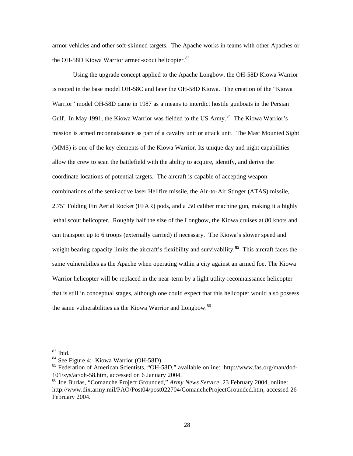armor vehicles and other soft-skinned targets. The Apache works in teams with other Apaches or the OH-58D Kiowa Warrior armed-scout helicopter.<sup>83</sup>

Using the upgrade concept applied to the Apache Longbow, the OH-58D Kiowa Warrior is rooted in the base model OH-58C and later the OH-58D Kiowa. The creation of the "Kiowa Warrior" model OH-58D came in 1987 as a means to interdict hostile gunboats in the Persian Gulf. In May 1991, the Kiowa Warrior was fielded to the US Army.<sup>84</sup> The Kiowa Warrior's mission is armed reconnaissance as part of a cavalry unit or attack unit. The Mast Mounted Sight (MMS) is one of the key elements of the Kiowa Warrior. Its unique day and night capabilities allow the crew to scan the battlefield with the ability to acquire, identify, and derive the coordinate locations of potential targets. The aircraft is capable of accepting weapon combinations of the semi-active laser Hellfire missile, the Air-to-Air Stinger (ATAS) missile, 2.75" Folding Fin Aerial Rocket (FFAR) pods, and a .50 caliber machine gun, making it a highly lethal scout helicopter. Roughly half the size of the Longbow, the Kiowa cruises at 80 knots and can transport up to 6 troops (externally carried) if necessary. The Kiowa's slower speed and weight bearing capacity limits the aircraft's flexibility and survivability.**<sup>85</sup>** This aircraft faces the same vulnerabilies as the Apache when operating within a city against an armed foe. The Kiowa Warrior helicopter will be replaced in the near-term by a light utility-reconnaissance helicopter that is still in conceptual stages, although one could expect that this helicopter would also possess the same vulnerabilities as the Kiowa Warrior and Longbow.<sup>86</sup>

<sup>83</sup> Ibid.

<sup>84</sup> See Figure 4: Kiowa Warrior (OH-58D).

<sup>&</sup>lt;sup>85</sup> Federation of American Scientists, "OH-58D," available online: http://www.fas.org/man/dod-101/sys/ac/oh-58.htm, accessed on 6 January 2004.

<sup>86</sup> Joe Burlas, "Comanche Project Grounded," *Army News Service*, 23 February 2004, online: http://www.dix.army.mil/PAO/Post04/post022704/ComancheProjectGrounded.htm, accessed 26 February 2004.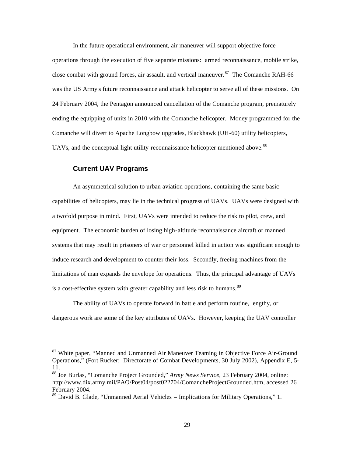In the future operational environment, air maneuver will support objective force operations through the execution of five separate missions: armed reconnaissance, mobile strike, close combat with ground forces, air assault, and vertical maneuver.<sup>87</sup> The Comanche RAH-66 was the US Army's future reconnaissance and attack helicopter to serve all of these missions. On 24 February 2004, the Pentagon announced cancellation of the Comanche program, prematurely ending the equipping of units in 2010 with the Comanche helicopter. Money programmed for the Comanche will divert to Apache Longbow upgrades, Blackhawk (UH-60) utility helicopters, UAVs, and the conceptual light utility-reconnaissance helicopter mentioned above.<sup>88</sup>

## **Current UAV Programs**

An asymmetrical solution to urban aviation operations, containing the same basic capabilities of helicopters, may lie in the technical progress of UAVs. UAVs were designed with a twofold purpose in mind. First, UAVs were intended to reduce the risk to pilot, crew, and equipment. The economic burden of losing high-altitude reconnaissance aircraft or manned systems that may result in prisoners of war or personnel killed in action was significant enough to induce research and development to counter their loss. Secondly, freeing machines from the limitations of man expands the envelope for operations. Thus, the principal advantage of UAVs is a cost-effective system with greater capability and less risk to humans.<sup>89</sup>

The ability of UAVs to operate forward in battle and perform routine, lengthy, or dangerous work are some of the key attributes of UAVs. However, keeping the UAV controller

<sup>&</sup>lt;sup>87</sup> White paper, "Manned and Unmanned Air Maneuver Teaming in Objective Force Air-Ground Operations," (Fort Rucker: Directorate of Combat Develo pments, 30 July 2002), Appendix E, 5 11.

<sup>88</sup> Joe Burlas, "Comanche Project Grounded," *Army News Service*, 23 February 2004, online: http://www.dix.army.mil/PAO/Post04/post022704/ComancheProjectGrounded.htm, accessed 26 February 2004.

<sup>89</sup> David B. Glade, "Unmanned Aerial Vehicles – Implications for Military Operations," 1.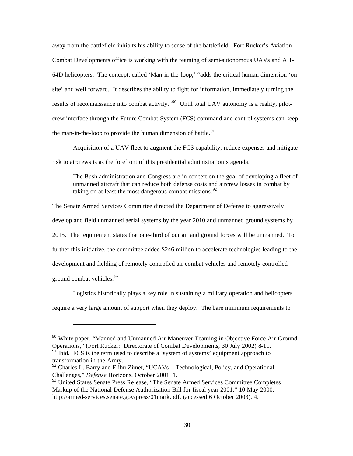away from the battlefield inhibits his ability to sense of the battlefield. Fort Rucker's Aviation Combat Developments office is working with the teaming of semi-autonomous UAVs and AH-64D helicopters. The concept, called 'Man-in-the-loop,' "adds the critical human dimension 'onsite' and well forward. It describes the ability to fight for information, immediately turning the results of reconnaissance into combat activity."<sup>90</sup> Until total UAV autonomy is a reality, pilotcrew interface through the Future Combat System (FCS) command and control systems can keep the man-in-the-loop to provide the human dimension of battle.<sup>91</sup>

Acquisition of a UAV fleet to augment the FCS capability, reduce expenses and mitigate risk to aircrews is as the forefront of this presidential administration's agenda.

The Bush administration and Congress are in concert on the goal of developing a fleet of unmanned aircraft that can reduce both defense costs and aircrew losses in combat by taking on at least the most dangerous combat missions.<sup>92</sup>

The Senate Armed Services Committee directed the Department of Defense to aggressively develop and field unmanned aerial systems by the year 2010 and unmanned ground systems by 2015. The requirement states that one-third of our air and ground forces will be unmanned. To further this initiative, the committee added \$246 million to accelerate technologies leading to the development and fielding of remotely controlled air combat vehicles and remotely controlled ground combat vehicles.<sup>93</sup>

Logistics historically plays a key role in sustaining a military operation and helicopters require a very large amount of support when they deploy. The bare minimum requirements to

<sup>&</sup>lt;sup>90</sup> White paper, "Manned and Unmanned Air Maneuver Teaming in Objective Force Air-Ground Operations," (Fort Rucker: Directorate of Combat Developments, 30 July 2002) 8-11.

 $91$  Ibid. FCS is the term used to describe a 'system of systems' equipment approach to transformation in the Army.

<sup>&</sup>lt;sup>92</sup> Charles L. Barry and Elihu Zimet, "UCAVs – Technological, Policy, and Operational Challenges," *Defense* Horizons, October 2001. 1.

<sup>&</sup>lt;sup>93</sup> United States Senate Press Release, "The Senate Armed Services Committee Completes Markup of the National Defense Authorization Bill for fiscal year 2001," 10 May 2000, http://armed-services.senate.gov/press/01mark.pdf, (accessed 6 October 2003), 4.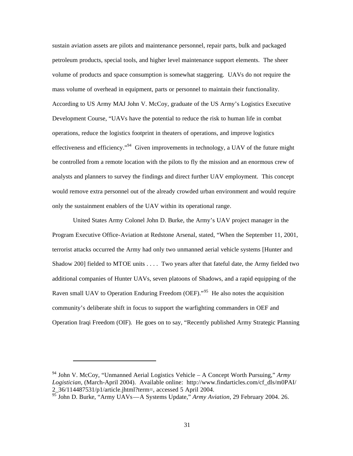sustain aviation assets are pilots and maintenance personnel, repair parts, bulk and packaged petroleum products, special tools, and higher level maintenance support elements. The sheer volume of products and space consumption is somewhat staggering. UAVs do not require the mass volume of overhead in equipment, parts or personnel to maintain their functionality. According to US Army MAJ John V. McCoy, graduate of the US Army's Logistics Executive Development Course, "UAVs have the potential to reduce the risk to human life in combat operations, reduce the logistics footprint in theaters of operations, and improve logistics effectiveness and efficiency."<sup>94</sup> Given improvements in technology, a UAV of the future might be controlled from a remote location with the pilots to fly the mission and an enormous crew of analysts and planners to survey the findings and direct further UAV employment. This concept would remove extra personnel out of the already crowded urban environment and would require only the sustainment enablers of the UAV within its operational range.

United States Army Colonel John D. Burke, the Army's UAV project manager in the Program Executive Office-Aviation at Redstone Arsenal, stated, "When the September 11, 2001, terrorist attacks occurred the Army had only two unmanned aerial vehicle systems [Hunter and Shadow 200] fielded to MTOE units . . . . Two years after that fateful date, the Army fielded two additional companies of Hunter UAVs, seven platoons of Shadows, and a rapid equipping of the Raven small UAV to Operation Enduring Freedom (OEF).<sup>"95</sup> He also notes the acquisition community's deliberate shift in focus to support the warfighting commanders in OEF and Operation Iraqi Freedom (OIF). He goes on to say, "Recently published Army Strategic Planning

<sup>94</sup> John V. McCoy, "Unmanned Aerial Logistics Vehicle – A Concept Worth Pursuing," *Army Logistician*, (March-April 2004). Available online: http://www.findarticles.com/cf\_dls/m0PAI/ 2\_36/114487531/p1/article.jhtml?term=, accessed 5 April 2004.

<sup>95</sup> John D. Burke, "Army UAVs—A Systems Update," *Army Aviation*, 29 February 2004. 26.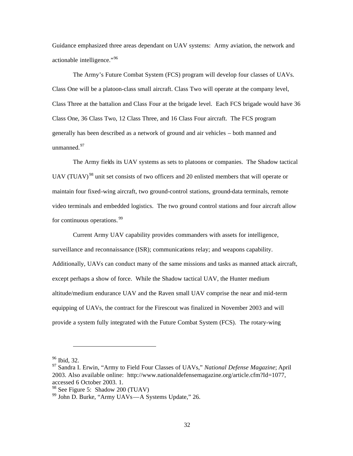Guidance emphasized three areas dependant on UAV systems: Army aviation, the network and actionable intelligence."<sup>96</sup>

The Army's Future Combat System (FCS) program will develop four classes of UAVs. Class One will be a platoon-class small aircraft. Class Two will operate at the company level, Class Three at the battalion and Class Four at the brigade level. Each FCS brigade would have 36 Class One, 36 Class Two, 12 Class Three, and 16 Class Four aircraft. The FCS program generally has been described as a network of ground and air vehicles – both manned and unmanned<sup>97</sup>

The Army fields its UAV systems as sets to platoons or companies. The Shadow tactical UAV (TUAV)<sup>98</sup> unit set consists of two officers and 20 enlisted members that will operate or maintain four fixed-wing aircraft, two ground-control stations, ground-data terminals, remote video terminals and embedded logistics. The two ground control stations and four aircraft allow for continuous operations. 99

Current Army UAV capability provides commanders with assets for intelligence, surveillance and reconnaissance (ISR); communications relay; and weapons capability. Additionally, UAVs can conduct many of the same missions and tasks as manned attack aircraft, except perhaps a show of force. While the Shadow tactical UAV, the Hunter medium altitude/medium endurance UAV and the Raven small UAV comprise the near and mid-term equipping of UAVs, the contract for the Firescout was finalized in November 2003 and will provide a system fully integrated with the Future Combat System (FCS). The rotary-wing

<sup>96</sup> Ibid, 32.

<sup>97</sup> Sandra I. Erwin, "Army to Field Four Classes of UAVs," *National Defense Magazine*; April 2003. Also available online: http://www.nationaldefensemagazine.org/article.cfm?Id=1077, accessed 6 October 2003. 1.

<sup>98</sup> See Figure 5: Shadow 200 (TUAV)

<sup>99</sup> John D. Burke, "Army UAVs—A Systems Update," 26.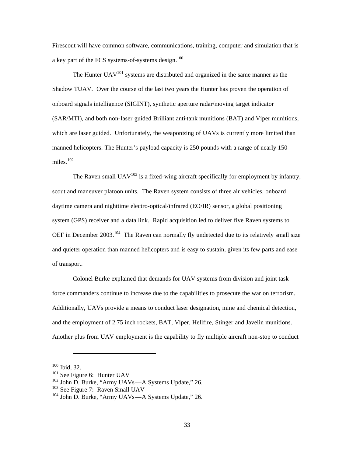Firescout will have common software, communications, training, computer and simulation that is a key part of the FCS systems-of-systems design.<sup>100</sup>

The Hunter  $UAV^{101}$  systems are distributed and organized in the same manner as the Shadow TUAV. Over the course of the last two years the Hunter has proven the operation of onboard signals intelligence (SIGINT), synthetic aperture radar/moving target indicator (SAR/MTI), and both non-laser guided Brilliant anti-tank munitions (BAT) and Viper munitions, which are laser guided. Unfortunately, the weaponizing of UAVs is currently more limited than manned helicopters. The Hunter's payload capacity is 250 pounds with a range of nearly 150 miles. $102$ 

The Raven small  $UAV^{103}$  is a fixed-wing aircraft specifically for employment by infantry, scout and maneuver platoon units. The Raven system consists of three air vehicles, onboard daytime camera and nighttime electro-optical/infrared (EO/IR) sensor, a global positioning system (GPS) receiver and a data link. Rapid acquisition led to deliver five Raven systems to OEF in December 2003.<sup>104</sup> The Raven can normally fly undetected due to its relatively small size and quieter operation than manned helicopters and is easy to sustain, given its few parts and ease of transport.

Colonel Burke explained that demands for UAV systems from division and joint task force commanders continue to increase due to the capabilities to prosecute the war on terrorism. Additionally, UAVs provide a means to conduct laser designation, mine and chemical detection, and the employment of 2.75 inch rockets, BAT, Viper, Hellfire, Stinger and Javelin munitions. Another plus from UAV employment is the capability to fly multiple aircraft non-stop to conduct

 $100$  Ibid, 32.

<sup>&</sup>lt;sup>101</sup> See Figure 6: Hunter UAV

 $102$  John D. Burke, "Army UAVs—A Systems Update," 26.

<sup>&</sup>lt;sup>103</sup> See Figure 7: Raven Small UAV

<sup>104</sup> John D. Burke, "Army UAVs—A Systems Update," 26.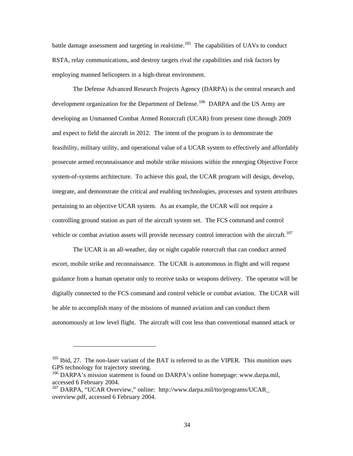battle damage assessment and targeting in real-time.<sup>105</sup> The capabilities of UAVs to conduct RSTA, relay communications, and destroy targets rival the capabilities and risk factors by employing manned helicopters in a high-threat environment.

The Defense Advanced Research Projects Agency (DARPA) is the central research and development organization for the Department of Defense.<sup>106</sup> DARPA and the US Army are developing an Unmanned Combat Armed Rotorcraft (UCAR) from present time through 2009 and expect to field the aircraft in 2012. The intent of the program is to demonstrate the feasibility, military utility, and operational value of a UCAR system to effectively and affordably prosecute armed reconnaissance and mobile strike missions within the emerging Objective Force system-of-systems architecture. To achieve this goal, the UCAR program will design, develop, integrate, and demonstrate the critical and enabling technologies, processes and system attributes pertaining to an objective UCAR system. As an example, the UCAR will not require a controlling ground station as part of the aircraft system set. The FCS command and control vehicle or combat aviation assets will provide necessary control interaction with the aircraft.<sup>107</sup>

The UCAR is an all-weather, day or night capable rotorcraft that can conduct armed escort, mobile strike and reconnaissance. The UCAR is autonomous in flight and will request guidance from a human operator only to receive tasks or weapons delivery. The operator will be digitally connected to the FCS command and control vehicle or combat aviation. The UCAR will be able to accomplish many of the missions of manned aviation and can conduct them autonomously at low level flight. The aircraft will cost less than conventional manned attack or

 $105$  Ibid, 27. The non-laser variant of the BAT is referred to as the VIPER. This munition uses GPS technology for trajectory steering.

<sup>&</sup>lt;sup>106</sup> DARPA's mission statement is found on DARPA's online homepage: www.darpa.mil, accessed 6 February 2004.

<sup>107</sup> DARPA, "UCAR Overview," online: http://www.darpa.mil/tto/programs/UCAR\_ overview.pdf, accessed 6 February 2004.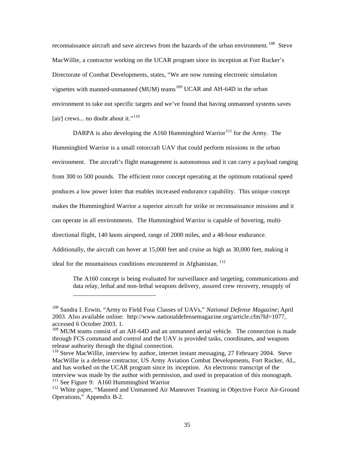reconnaissance aircraft and save aircrews from the hazards of the urban environment.<sup>108</sup> Steve MacWillie, a contractor working on the UCAR program since its inception at Fort Rucker's Directorate of Combat Developments, states, "We are now running electronic simulation vignettes with manned-unmanned (MUM) teams<sup>109</sup> UCAR and AH-64D in the urban environment to take out specific targets and we've found that having unmanned systems saves [air] crews... no doubt about it."<sup>110</sup>

DARPA is also developing the A160 Hummingbird Warrior<sup>111</sup> for the Army. The Hummingbird Warrior is a small rotorcraft UAV that could perform missions in the urban environment. The aircraft's flight management is autonomous and it can carry a payload ranging from 300 to 500 pounds. The efficient rotor concept operating at the optimum rotational speed produces a low power loiter that enables increased endurance capability. This unique concept makes the Hummingbird Warrior a superior aircraft for strike or reconnaissance missions and it can operate in all environments. The Hummingbird Warrior is capable of hovering, multidirectional flight, 140 knots airspeed, range of 2000 miles, and a 48-hour endurance. Additionally, the aircraft can hover at 15,000 feet and cruise as high as 30,000 feet, making it ideal for the mountainous conditions encountered in Afghanistan.<sup>112</sup>

The A160 concept is being evaluated for surveillance and targeting, communications and data relay, lethal and non-lethal weapons delivery, assured crew recovery, resupply of

<sup>108</sup> Sandra I. Erwin, "Army to Field Four Classes of UAVs," *National Defense Magazine*; April 2003. Also available online: http://www.nationaldefensemagazine.org/article.cfm?Id=1077, accessed 6 October 2003. 1.

<sup>&</sup>lt;sup>109</sup> MUM teams consist of an AH-64D and an unmanned aerial vehicle. The connection is made through FCS command and control and the UAV is provided tasks, coordinates, and weapons release authority through the digital connection.

<sup>&</sup>lt;sup>110</sup> Steve MacWillie, interview by author, internet instant messaging, 27 February 2004. Steve MacWillie is a defense contractor, US Army Aviation Combat Developments, Fort Rucker, AL, and has worked on the UCAR program since its inception. An electronic transcript of the interview was made by the author with permission, and used in preparation of this monograph.  $111$  See Figure 9: A160 Humming bird Warrior

<sup>&</sup>lt;sup>112</sup> White paper, "Manned and Unmanned Air Maneuver Teaming in Objective Force Air-Ground Operations," Appendix B-2.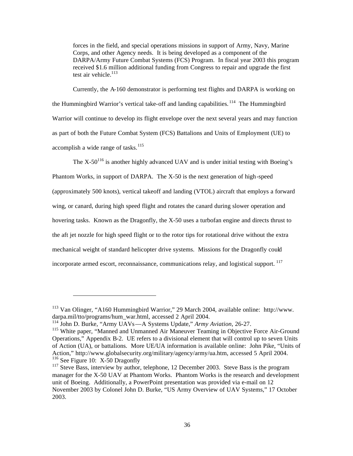forces in the field, and special operations missions in support of Army, Navy, Marine Corps, and other Agency needs. It is being developed as a component of the DARPA/Army Future Combat Systems (FCS) Program. In fiscal year 2003 this program received \$1.6 million additional funding from Congress to repair and upgrade the first test air vehicle. $113$ 

Currently, the A-160 demonstrator is performing test flights and DARPA is working on the Hummingbird Warrior's vertical take-off and landing capabilities.<sup>114</sup> The Hummingbird Warrior will continue to develop its flight envelope over the next several years and may function as part of both the Future Combat System (FCS) Battalions and Units of Employment (UE) to accomplish a wide range of tasks. $115$ 

The  $X-50^{116}$  is another highly advanced UAV and is under initial testing with Boeing's Phantom Works, in support of DARPA. The X-50 is the next generation of high-speed (approximately 500 knots), vertical takeoff and landing (VTOL) aircraft that employs a forward wing, or canard, during high speed flight and rotates the canard during slower operation and hovering tasks. Known as the Dragonfly, the X-50 uses a turbofan engine and directs thrust to the aft jet nozzle for high speed flight or to the rotor tips for rotational drive without the extra mechanical weight of standard helicopter drive systems. Missions for the Dragonfly could incorporate armed escort, reconnaissance, communications relay, and logistical support. 117

<sup>113</sup> Van Olinger, "A160 Hummingbird Warrior," 29 March 2004, available online: http://www. darpa.mil/tto/programs/hum\_war.html, accessed 2 April 2004.

<sup>114</sup> John D. Burke, "Army UAVs—A Systems Update," *Army Aviation*, 26-27.

<sup>&</sup>lt;sup>115</sup> White paper, "Manned and Unmanned Air Maneuver Teaming in Objective Force Air-Ground Operations," Appendix B-2. UE refers to a divisional element that will control up to seven Units of Action (UA), or battalions. More UE/UA information is available online: John Pike, "Units of Action," http://www.globalsecurity.org/military/agency/army/ua.htm, accessed 5 April 2004. <sup>116</sup> See Figure 10: X-50 Dragonfly

 $117$  Steve Bass, interview by author, telephone, 12 December 2003. Steve Bass is the program manager for the X-50 UAV at Phantom Works. Phantom Works is the research and development unit of Boeing. Additionally, a PowerPoint presentation was provided via e-mail on 12 November 2003 by Colonel John D. Burke, "US Army Overview of UAV Systems," 17 October 2003.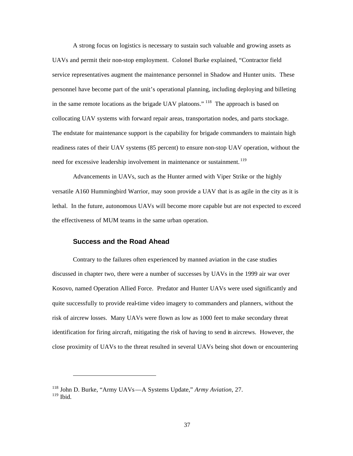A strong focus on logistics is necessary to sustain such valuable and growing assets as UAVs and permit their non-stop employment. Colonel Burke explained, "Contractor field service representatives augment the maintenance personnel in Shadow and Hunter units. These personnel have become part of the unit's operational planning, including deploying and billeting in the same remote locations as the brigade UAV platoons."<sup>118</sup> The approach is based on collocating UAV systems with forward repair areas, transportation nodes, and parts stockage. The endstate for maintenance support is the capability for brigade commanders to maintain high readiness rates of their UAV systems (85 percent) to ensure non-stop UAV operation, without the need for excessive leadership involvement in maintenance or sustainment.<sup>119</sup>

Advancements in UAVs, such as the Hunter armed with Viper Strike or the highly versatile A160 Hummingbird Warrior, may soon provide a UAV that is as agile in the city as it is lethal. In the future, autonomous UAVs will become more capable but are not expected to exceed the effectiveness of MUM teams in the same urban operation.

#### **Success and the Road Ahead**

Contrary to the failures often experienced by manned aviation in the case studies discussed in chapter two, there were a number of successes by UAVs in the 1999 air war over Kosovo, named Operation Allied Force. Predator and Hunter UAVs were used significantly and quite successfully to provide real-time video imagery to commanders and planners, without the risk of aircrew losses. Many UAVs were flown as low as 1000 feet to make secondary threat identification for firing aircraft, mitigating the risk of having to send in aircrews. However, the close proximity of UAVs to the threat resulted in several UAVs being shot down or encountering

<sup>118</sup> John D. Burke, "Army UAVs—A Systems Update," *Army Aviation*, 27.  $119$  Ibid.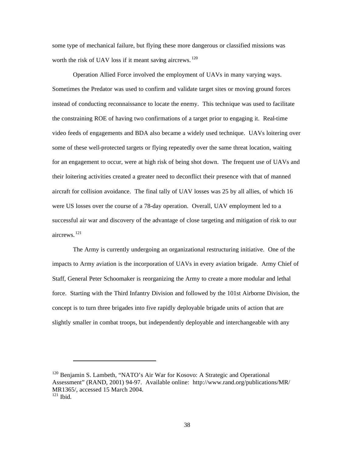some type of mechanical failure, but flying these more dangerous or classified missions was worth the risk of UAV loss if it meant saving aircrews.<sup>120</sup>

Operation Allied Force involved the employment of UAVs in many varying ways. Sometimes the Predator was used to confirm and validate target sites or moving ground forces instead of conducting reconnaissance to locate the enemy. This technique was used to facilitate the constraining ROE of having two confirmations of a target prior to engaging it. Real-time video feeds of engagements and BDA also became a widely used technique. UAVs loitering over some of these well-protected targets or flying repeatedly over the same threat location, waiting for an engagement to occur, were at high risk of being shot down. The frequent use of UAVs and their loitering activities created a greater need to deconflict their presence with that of manned aircraft for collision avoidance. The final tally of UAV losses was 25 by all allies, of which 16 were US losses over the course of a 78-day operation. Overall, UAV employment led to a successful air war and discovery of the advantage of close targeting and mitigation of risk to our aircrews. <sup>121</sup>

The Army is currently undergoing an organizational restructuring initiative. One of the impacts to Army aviation is the incorporation of UAVs in every aviation brigade. Army Chief of Staff, General Peter Schoomaker is reorganizing the Army to create a more modular and lethal force. Starting with the Third Infantry Division and followed by the 101st Airborne Division, the concept is to turn three brigades into five rapidly deployable brigade units of action that are slightly smaller in combat troops, but independently deployable and interchangeable with any

<sup>&</sup>lt;sup>120</sup> Benjamin S. Lambeth, "NATO's Air War for Kosovo: A Strategic and Operational Assessment" (RAND, 2001) 94-97. Available online: http://www.rand.org/publications/MR/ MR1365/, accessed 15 March 2004.  $121$  Ibid.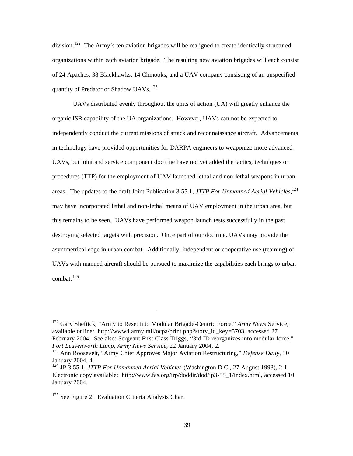division.<sup>122</sup> The Army's ten aviation brigades will be realigned to create identically structured organizations within each aviation brigade. The resulting new aviation brigades will each consist of 24 Apaches, 38 Blackhawks, 14 Chinooks, and a UAV company consisting of an unspecified quantity of Predator or Shadow UAVs. 123

UAVs distributed evenly throughout the units of action (UA) will greatly enhance the organic ISR capability of the UA organizations. However, UAVs can not be expected to independently conduct the current missions of attack and reconnaissance aircraft. Advancements in technology have provided opportunities for DARPA engineers to weaponize more advanced UAVs, but joint and service component doctrine have not yet added the tactics, techniques or procedures (TTP) for the employment of UAV-launched lethal and non-lethal weapons in urban areas. The updates to the draft Joint Publication 3-55.1, *JTTP For Unmanned Aerial Vehicles*, 124 may have incorporated lethal and non-lethal means of UAV employment in the urban area, but this remains to be seen. UAVs have performed weapon launch tests successfully in the past, destroying selected targets with precision. Once part of our doctrine, UAVs may provide the asymmetrical edge in urban combat. Additionally, independent or cooperative use (teaming) of UAVs with manned aircraft should be pursued to maximize the capabilities each brings to urban combat.  $125$ 

<sup>122</sup> Gary Sheftick, "Army to Reset into Modular Brigade-Centric Force," *Army News* Service, available online: http://www4.army.mil/ocpa/print.php?story\_id\_key=5703, accessed 27 February 2004. See also: Sergeant First Class Triggs, "3rd ID reorganizes into modular force," *Fort Leavenworth Lamp*, *Army News Service*, 22 January 2004, 2.

<sup>123</sup> Ann Roosevelt, "Army Chief Approves Major Aviation Restructuring," *Defense Daily*, 30 January 2004, 4.

<sup>124</sup> JP 3-55.1, *JTTP For Unmanned Aerial Vehicles* (Washington D.C., 27 August 1993), 2-1. Electronic copy available: http://www.fas.org/irp/doddir/dod/jp3-55\_1/index.html, accessed 10 January 2004.

 $125$  See Figure 2: Evaluation Criteria Analysis Chart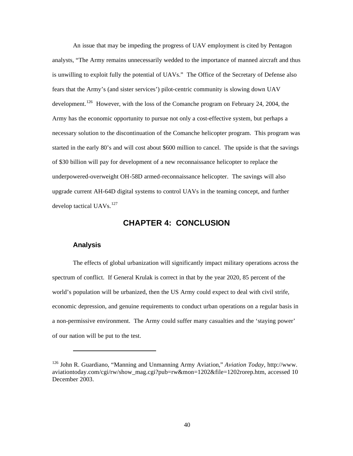An issue that may be impeding the progress of UAV employment is cited by Pentagon analysts, "The Army remains unnecessarily wedded to the importance of manned aircraft and thus is unwilling to exploit fully the potential of UAVs." The Office of the Secretary of Defense also fears that the Army's (and sister services') pilot-centric community is slowing down UAV development.<sup>126</sup> However, with the loss of the Comanche program on February 24, 2004, the Army has the economic opportunity to pursue not only a cost-effective system, but perhaps a necessary solution to the discontinuation of the Comanche helicopter program. This program was started in the early 80's and will cost about \$600 million to cancel. The upside is that the savings of \$30 billion will pay for development of a new reconnaissance helicopter to replace the underpowered-overweight OH-58D armed-reconnaissance helicopter. The savings will also upgrade current AH-64D digital systems to control UAVs in the teaming concept, and further develop tactical UAVs. $^{127}$ 

## **CHAPTER 4: CONCLUSION**

#### **Analysis**

The effects of global urbanization will significantly impact military operations across the spectrum of conflict. If General Krulak is correct in that by the year 2020, 85 percent of the world's population will be urbanized, then the US Army could expect to deal with civil strife, economic depression, and genuine requirements to conduct urban operations on a regular basis in a non-permissive environment. The Army could suffer many casualties and the 'staying power' of our nation will be put to the test.

<sup>126</sup> John R. Guardiano, "Manning and Unmanning Army Aviation," *Aviation Today,* http://www. aviationtoday.com/cgi/rw/show\_mag.cgi?pub=rw&mon=1202&file=1202rorep.htm, accessed 10 December 2003.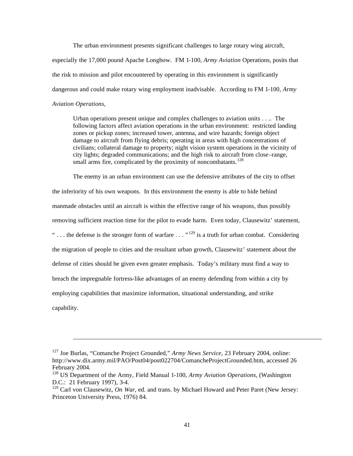The urban environment presents significant challenges to large rotary wing aircraft,

especially the 17,000 pound Apache Longbow. FM 1-100, *Army Aviation* Operations, posits that the risk to mission and pilot encountered by operating in this environment is significantly dangerous and could make rotary wing employment inadvisable. According to FM 1-100, *Army Aviation Operations*,

Urban operations present unique and complex challenges to aviation units . . .. The following factors affect aviation operations in the urban environment: restricted landing zones or pickup zones; increased tower, antenna, and wire hazards; foreign object damage to aircraft from flying debris; operating in areas with high concentrations of civilians; collateral damage to property; night vision system operations in the vicinity of city lights; degraded communications; and the high risk to aircraft from close–range, small arms fire, complicated by the proximity of noncombatants.<sup>128</sup>

The enemy in an urban environment can use the defensive attributes of the city to offset the inferiority of his own weapons. In this environment the enemy is able to hide behind manmade obstacles until an aircraft is within the effective range of his weapons, thus possibly removing sufficient reaction time for the pilot to evade harm. Even today, Clausewitz' statement, "... the defense is the stronger form of warfare ..."<sup>129</sup> is a truth for urban combat. Considering the migration of people to cities and the resultant urban growth, Clausewitz' statement about the defense of cities should be given even greater emphasis. Today's military must find a way to breach the impregnable fortress-like advantages of an enemy defending from within a city by employing capabilities that maximize information, situational understanding, and strike capability.

<sup>127</sup> Joe Burlas, "Comanche Project Grounded," *Army News Service*, 23 February 2004, online: http://www.dix.army.mil/PAO/Post04/post022704/ComancheProjectGrounded.htm, accessed 26 February 2004.

<sup>128</sup> US Department of the Army, Field Manual 1-100, *Army Aviation Operations*, (Washington D.C.: 21 February 1997), 3-4.

<sup>&</sup>lt;sup>129</sup> Carl von Clausewitz, *On War*, ed. and trans. by Michael Howard and Peter Paret (New Jersey: Princeton University Press, 1976) 84.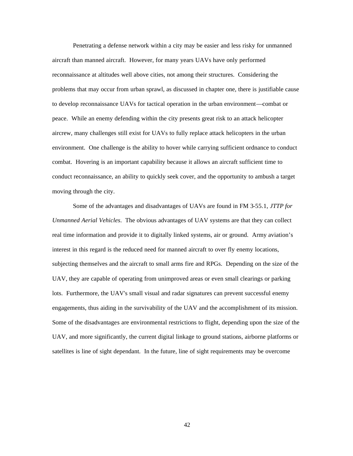Penetrating a defense network within a city may be easier and less risky for unmanned aircraft than manned aircraft. However, for many years UAVs have only performed reconnaissance at altitudes well above cities, not among their structures. Considering the problems that may occur from urban sprawl, as discussed in chapter one, there is justifiable cause to develop reconnaissance UAVs for tactical operation in the urban environment—combat or peace. While an enemy defending within the city presents great risk to an attack helicopter aircrew, many challenges still exist for UAVs to fully replace attack helicopters in the urban environment. One challenge is the ability to hover while carrying sufficient ordnance to conduct combat. Hovering is an important capability because it allows an aircraft sufficient time to conduct reconnaissance, an ability to quickly seek cover, and the opportunity to ambush a target moving through the city.

Some of the advantages and disadvantages of UAVs are found in FM 3-55.1, *JTTP for Unmanned Aerial Vehicles*. The obvious advantages of UAV systems are that they can collect real time information and provide it to digitally linked systems, air or ground. Army aviation's interest in this regard is the reduced need for manned aircraft to over fly enemy locations, subjecting themselves and the aircraft to small arms fire and RPGs. Depending on the size of the UAV, they are capable of operating from unimproved areas or even small clearings or parking lots. Furthermore, the UAV's small visual and radar signatures can prevent successful enemy engagements, thus aiding in the survivability of the UAV and the accomplishment of its mission. Some of the disadvantages are environmental restrictions to flight, depending upon the size of the UAV, and more significantly, the current digital linkage to ground stations, airborne platforms or satellites is line of sight dependant. In the future, line of sight requirements may be overcome

42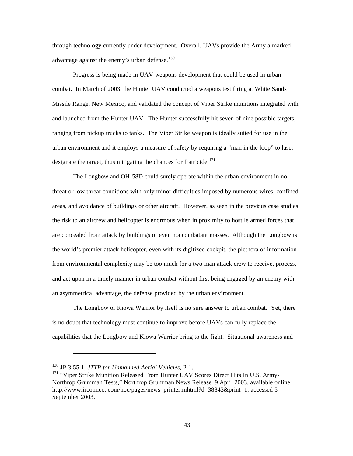through technology currently under development. Overall, UAVs provide the Army a marked advantage against the enemy's urban defense.<sup>130</sup>

Progress is being made in UAV weapons development that could be used in urban combat. In March of 2003, the Hunter UAV conducted a weapons test firing at White Sands Missile Range, New Mexico, and validated the concept of Viper Strike munitions integrated with and launched from the Hunter UAV. The Hunter successfully hit seven of nine possible targets, ranging from pickup trucks to tanks. The Viper Strike weapon is ideally suited for use in the urban environment and it employs a measure of safety by requiring a "man in the loop" to laser designate the target, thus mitigating the chances for fratricide.<sup>131</sup>

The Longbow and OH-58D could surely operate within the urban environment in nothreat or low-threat conditions with only minor difficulties imposed by numerous wires, confined areas, and avoidance of buildings or other aircraft. However, as seen in the previous case studies, the risk to an aircrew and helicopter is enormous when in proximity to hostile armed forces that are concealed from attack by buildings or even noncombatant masses. Although the Longbow is the world's premier attack helicopter, even with its digitized cockpit, the plethora of information from environmental complexity may be too much for a two-man attack crew to receive, process, and act upon in a timely manner in urban combat without first being engaged by an enemy with an asymmetrical advantage, the defense provided by the urban environment.

The Longbow or Kiowa Warrior by itself is no sure answer to urban combat. Yet, there is no doubt that technology must continue to improve before UAVs can fully replace the capabilities that the Longbow and Kiowa Warrior bring to the fight. Situational awareness and

<sup>130</sup> JP 3-55.1, *JTTP for Unmanned Aerial Vehicles*, 2-1.

<sup>&</sup>lt;sup>131</sup> "Viper Strike Munition Released From Hunter UAV Scores Direct Hits In U.S. Army-Northrop Grumman Tests," Northrop Grumman News Release, 9 April 2003, available online: http://www.irconnect.com/noc/pages/news\_printer.mhtml?d=38843&print=1, accessed 5 September 2003.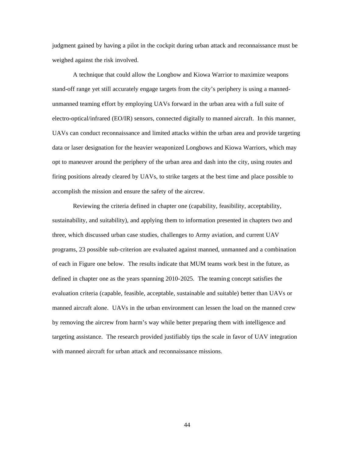judgment gained by having a pilot in the cockpit during urban attack and reconnaissance must be weighed against the risk involved.

A technique that could allow the Longbow and Kiowa Warrior to maximize weapons stand-off range yet still accurately engage targets from the city's periphery is using a mannedunmanned teaming effort by employing UAVs forward in the urban area with a full suite of electro-optical/infrared (EO/IR) sensors, connected digitally to manned aircraft. In this manner, UAVs can conduct reconnaissance and limited attacks within the urban area and provide targeting data or laser designation for the heavier weaponized Longbows and Kiowa Warriors, which may opt to maneuver around the periphery of the urban area and dash into the city, using routes and firing positions already cleared by UAVs, to strike targets at the best time and place possible to accomplish the mission and ensure the safety of the aircrew.

Reviewing the criteria defined in chapter one (capability, feasibility, acceptability, sustainability, and suitability), and applying them to information presented in chapters two and three, which discussed urban case studies, challenges to Army aviation, and current UAV programs, 23 possible sub-criterion are evaluated against manned, unmanned and a combination of each in Figure one below. The results indicate that MUM teams work best in the future, as defined in chapter one as the years spanning 2010-2025. The teaming concept satisfies the evaluation criteria (capable, feasible, acceptable, sustainable and suitable) better than UAVs or manned aircraft alone. UAVs in the urban environment can lessen the load on the manned crew by removing the aircrew from harm's way while better preparing them with intelligence and targeting assistance. The research provided justifiably tips the scale in favor of UAV integration with manned aircraft for urban attack and reconnaissance missions.

44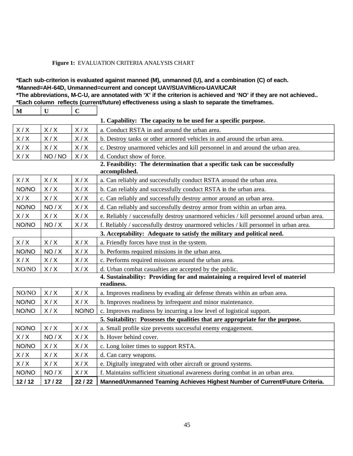#### **Figure 1:** EVALUATION CRITERIA ANALYSIS CHART

## **\*Each sub-criterion is evaluated against manned (M), unmanned (U), and a combination (C) of each. \*Manned=AH-64D, Unmanned=current and concept UAV/SUAV/Micro-UAV/UCAR**

**\*The abbreviations, M-C-U, are annotated with 'X' if the criterion is achieved and 'NO' if they are not achieved..**

**\*Each column reflects (current/future) effectiveness using a slash to separate the timeframes.** 

| $\mathbf M$                                                                   | U                                                                                           | $\mathbf C$ |                                                                                           |  |
|-------------------------------------------------------------------------------|---------------------------------------------------------------------------------------------|-------------|-------------------------------------------------------------------------------------------|--|
| 1. Capability: The capacity to be used for a specific purpose.                |                                                                                             |             |                                                                                           |  |
| X/X                                                                           | X/X                                                                                         | X/X         | a. Conduct RSTA in and around the urban area.                                             |  |
| X/X                                                                           | X/X                                                                                         | X/X         | b. Destroy tanks or other armored vehicles in and around the urban area.                  |  |
| X/X                                                                           | X/X                                                                                         | X/X         | c. Destroy unarmored vehicles and kill personnel in and around the urban area.            |  |
| X/X                                                                           | NO / NO                                                                                     | X/X         | d. Conduct show of force.                                                                 |  |
|                                                                               | 2. Feasibility: The determination that a specific task can be successfully<br>accomplished. |             |                                                                                           |  |
| X/X                                                                           | X/X                                                                                         | X/X         | a. Can reliably and successfully conduct RSTA around the urban area.                      |  |
| NO/NO                                                                         | X/X                                                                                         | X/X         | b. Can reliably and successfully conduct RSTA in the urban area.                          |  |
| X/X                                                                           | X/X                                                                                         | X/X         | c. Can reliably and successfully destroy armor around an urban area.                      |  |
| NO/NO                                                                         | NO / X                                                                                      | X/X         | d. Can reliably and successfully destroy armor from within an urban area.                 |  |
| X/X                                                                           | X/X                                                                                         | X/X         | e. Reliably / successfully destroy unarmored vehicles / kill personnel around urban area. |  |
| NO/NO                                                                         | NO / X                                                                                      | X/X         | f. Reliably / successfully destroy unarmored vehicles / kill personnel in urban area.     |  |
| 3. Acceptability: Adequate to satisfy the military and political need.        |                                                                                             |             |                                                                                           |  |
| X/X                                                                           | X/X                                                                                         | X/X         | a. Friendly forces have trust in the system.                                              |  |
| NO/NO                                                                         | NO/X                                                                                        | X/X         | b. Performs required missions in the urban area.                                          |  |
| X/X                                                                           | X/X                                                                                         | X/X         | c. Performs required missions around the urban area.                                      |  |
| NO/NO                                                                         | X/X                                                                                         | X/X         | d. Urban combat casualties are accepted by the public.                                    |  |
|                                                                               |                                                                                             |             | 4. Sustainability: Providing for and maintaining a required level of materiel             |  |
|                                                                               |                                                                                             |             | readiness.                                                                                |  |
| NO/NO                                                                         | X/X                                                                                         | X/X         | a. Improves readiness by evading air defense threats within an urban area.                |  |
| NO/NO                                                                         | X/X                                                                                         | X/X         | b. Improves readiness by infrequent and minor maintenance.                                |  |
| NO/NO                                                                         | X/X                                                                                         | NO/NO       | c. Improves readiness by incurring a low level of logistical support.                     |  |
| 5. Suitability: Possesses the qualities that are appropriate for the purpose. |                                                                                             |             |                                                                                           |  |
| NO/NO                                                                         | X/X                                                                                         | X/X         | a. Small profile size prevents successful enemy engagement.                               |  |
| X/X                                                                           | NO/X                                                                                        | X/X         | b. Hover behind cover.                                                                    |  |
| NO/NO                                                                         | X/X                                                                                         | X/X         | c. Long loiter times to support RSTA.                                                     |  |
| X/X                                                                           | X/X                                                                                         | X/X         | d. Can carry weapons.                                                                     |  |
| X/X                                                                           | X/X                                                                                         | X/X         | e. Digitally integrated with other aircraft or ground systems.                            |  |
| NO/NO                                                                         | NO/X                                                                                        | X/X         | f. Maintains sufficient situational awareness during combat in an urban area.             |  |
| 12/12                                                                         | 17/22                                                                                       | 22 / 22     | Manned/Unmanned Teaming Achieves Highest Number of Current/Future Criteria.               |  |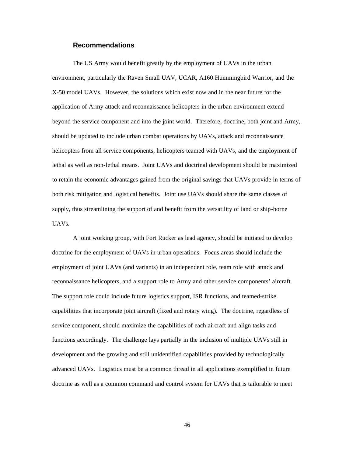## **Recommendations**

The US Army would benefit greatly by the employment of UAVs in the urban environment, particularly the Raven Small UAV, UCAR, A160 Hummingbird Warrior, and the X-50 model UAVs. However, the solutions which exist now and in the near future for the application of Army attack and reconnaissance helicopters in the urban environment extend beyond the service component and into the joint world. Therefore, doctrine, both joint and Army, should be updated to include urban combat operations by UAVs, attack and reconnaissance helicopters from all service components, helicopters teamed with UAVs, and the employment of lethal as well as non-lethal means. Joint UAVs and doctrinal development should be maximized to retain the economic advantages gained from the original savings that UAVs provide in terms of both risk mitigation and logistical benefits. Joint use UAVs should share the same classes of supply, thus streamlining the support of and benefit from the versatility of land or ship-borne UAVs.

A joint working group, with Fort Rucker as lead agency, should be initiated to develop doctrine for the employment of UAVs in urban operations. Focus areas should include the employment of joint UAVs (and variants) in an independent role, team role with attack and reconnaissance helicopters, and a support role to Army and other service components' aircraft. The support role could include future logistics support, ISR functions, and teamed-strike capabilities that incorporate joint aircraft (fixed and rotary wing). The doctrine, regardless of service component, should maximize the capabilities of each aircraft and align tasks and functions accordingly. The challenge lays partially in the inclusion of multiple UAVs still in development and the growing and still unidentified capabilities provided by technologically advanced UAVs. Logistics must be a common thread in all applications exemplified in future doctrine as well as a common command and control system for UAVs that is tailorable to meet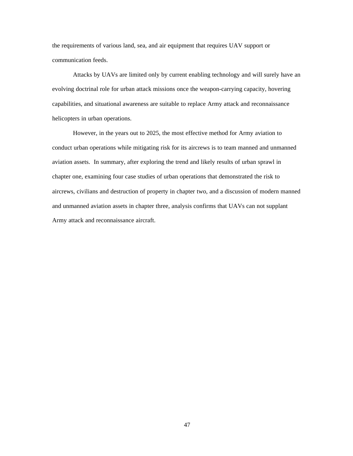the requirements of various land, sea, and air equipment that requires UAV support or communication feeds.

Attacks by UAVs are limited only by current enabling technology and will surely have an evolving doctrinal role for urban attack missions once the weapon-carrying capacity, hovering capabilities, and situational awareness are suitable to replace Army attack and reconnaissance helicopters in urban operations.

However, in the years out to 2025, the most effective method for Army aviation to conduct urban operations while mitigating risk for its aircrews is to team manned and unmanned aviation assets. In summary, after exploring the trend and likely results of urban sprawl in chapter one, examining four case studies of urban operations that demonstrated the risk to aircrews, civilians and destruction of property in chapter two, and a discussion of modern manned and unmanned aviation assets in chapter three, analysis confirms that UAVs can not supplant Army attack and reconnaissance aircraft.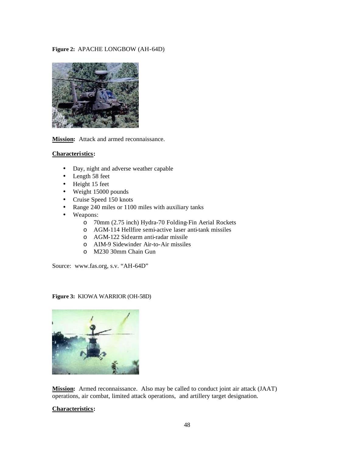## **Figure 2:** APACHE LONGBOW (AH-64D)



**Mission:** Attack and armed reconnaissance.

## **Characteri stics:**

- Day, night and adverse weather capable
- Length 58 feet
- Height 15 feet
- Weight 15000 pounds
- Cruise Speed 150 knots
- Range 240 miles or 1100 miles with auxiliary tanks
- Weapons:
	- o 70mm (2.75 inch) Hydra-70 Folding-Fin Aerial Rockets
	- o AGM-114 Hellfire semi-active laser anti-tank missiles
	- o AGM-122 Sid earm anti-radar missile
	- o AIM-9 Sidewinder Air-to-Air missiles
	- o M230 30mm Chain Gun

Source: www.fas.org, s.v. "AH-64D"

**Figure 3:** KIOWA WARRIOR (OH-58D)



**Mission:** Armed reconnaissance. Also may be called to conduct joint air attack (JAAT) operations, air combat, limited attack operations, and artillery target designation.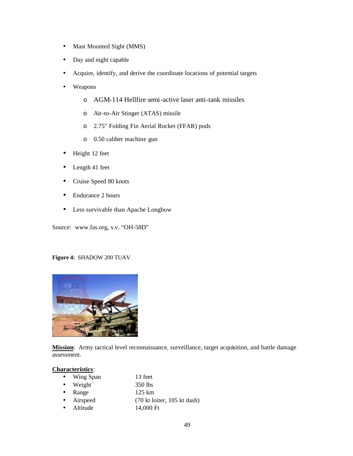- Mast Mounted Sight (MMS)
- Day and night capable
- Acquire, identify, and derive the coordinate locations of potential targets
- Weapons
	- o AGM-114 Hellfire semi-active laser anti-tank missiles
	- o Air-to-Air Stinger (ATAS) missile
	- o 2.75" Folding Fin Aerial Rocket (FFAR) pods
	- o 0.50 caliber machine gun
- Height 12 feet
- Length 41 feet
- Cruise Speed 80 knots
- Endurance 2 hours
- Less survivable than Apache Longbow

Source: www.fas.org, s.v. "OH-58D"

#### **Figure 4:** SHADOW 200 TUAV



**Mission**: Army tactical level reconnaissance, surveillance, target acquisition, and battle damage assessment.

| • Wing Span      | 13 feet                                                  |
|------------------|----------------------------------------------------------|
| $\bullet$ Weight | 350 lbs                                                  |
| $\bullet$ Range  | $125 \text{ km}$                                         |
| • Airspeed       | $(70 \text{ kt} \cdot 105 \text{ kt} \cdot \text{dash})$ |
| • Altitude       | 14,000 Ft                                                |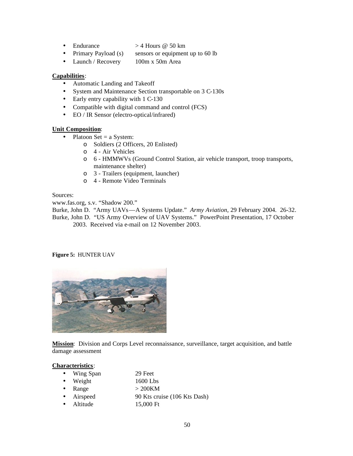- Endurance  $> 4$  Hours @ 50 km
- Primary Payload (s) sensors or equipment up to 60 lb
- Launch / Recovery 100m x 50m Area

- Automatic Landing and Takeoff
- System and Maintenance Section transportable on 3 C-130s
- Early entry capability with 1 C-130
- Compatible with digital command and control (FCS)
- EO / IR Sensor (electro-optical/infrared)

#### **Unit Composition**:

- Platoon Set  $=$  a System:
	- o Soldiers (2 Officers, 20 Enlisted)
	- o 4 Air Vehicles
	- o 6 HMMWVs (Ground Control Station, air vehicle transport, troop transports, maintenance shelter)
	- o 3 Trailers (equipment, launcher)
	- o 4 Remote Video Terminals

Sources:

www.fas.org, s.v. "Shadow 200."

Burke, John D. "Army UAVs—A Systems Update." *Army Aviation*, 29 February 2004. 26-32. Burke, John D. "US Army Overview of UAV Systems." PowerPoint Presentation, 17 October

2003. Received via e-mail on 12 November 2003.

#### **Figure 5:** HUNTER UAV



**Mission**: Division and Corps Level reconnaissance, surveillance, target acquisition, and battle damage assessment

- Wing Span 29 Feet
- Weight 1600 Lbs
- Range  $> 200 \text{KM}$
- Airspeed 90 Kts cruise (106 Kts Dash)
- Altitude 15,000 Ft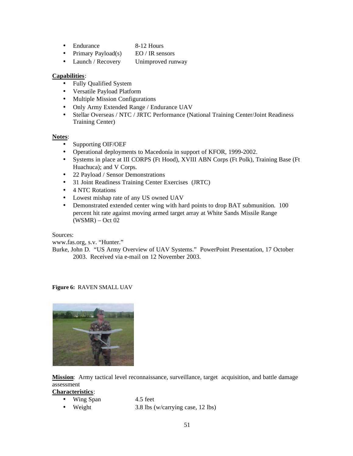- Endurance 8-12 Hours
- Primary Payload(s)  $\qquad \text{EO}$  / IR sensors
- Launch / Recovery Unimproved runway

- Fully Qualified System
- Versatile Payload Platform
- Multiple Mission Configurations
- Only Army Extended Range / Endurance UAV
- Stellar Overseas / NTC / JRTC Performance (National Training Center/Joint Readiness Training Center)

#### **Notes**:

- Supporting OIF/OEF
- Operational deployments to Macedonia in support of KFOR, 1999-2002.
- Systems in place at III CORPS (Ft Hood), XVIII ABN Corps (Ft Polk), Training Base (Ft Huachuca); and V Corps.
- 22 Payload / Sensor Demonstrations
- 31 Joint Readiness Training Center Exercises (JRTC)
- 4 NTC Rotations
- Lowest mishap rate of any US owned UAV
- Demonstrated extended center wing with hard points to drop BAT submunition. 100 percent hit rate against moving armed target array at White Sands Missile Range (WSMR) – Oct 02

Sources:

www.fas.org, s.v. "Hunter."

Burke, John D. "US Army Overview of UAV Systems." PowerPoint Presentation, 17 October 2003. Received via e-mail on 12 November 2003.

## **Figure 6:** RAVEN SMALL UAV



**Mission**: Army tactical level reconnaissance, surveillance, target acquisition, and battle damage assessment

- Wing Span 4.5 feet
- 
- 
- Weight 3.8 lbs (w/carrying case, 12 lbs)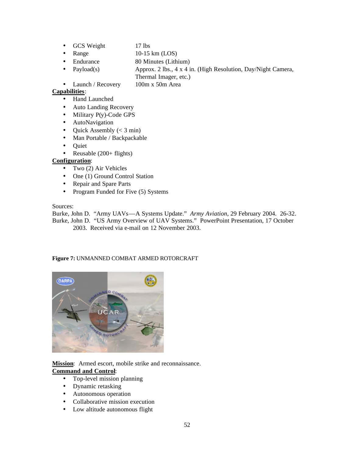- GCS Weight 17 lbs
- Range  $10-15 \text{ km} (\text{LOS})$
- Endurance 80 Minutes (Lithium)
- Payload(s) Approx. 2 lbs., 4 x 4 in. (High Resolution, Day/Night Camera,
- Thermal Imager, etc.)
- Launch / Recovery 100m x 50m Area

- Hand Launched
- Auto Landing Recovery
- Military P(y)-Code GPS
- AutoNavigation
- Ouick Assembly  $(< 3 \text{ min})$
- Man Portable / Backpackable
- Quiet
- Reusable  $(200 + \text{flights})$

## **Configuration**:

- Two (2) Air Vehicles
- One (1) Ground Control Station
- Repair and Spare Parts
- Program Funded for Five (5) Systems

## Sources:

Burke, John D. "Army UAVs—A Systems Update." *Army Aviation*, 29 February 2004. 26-32. Burke, John D. "US Army Overview of UAV Systems." PowerPoint Presentation, 17 October 2003. Received via e-mail on 12 November 2003.

## **Figure 7:** UNMANNED COMBAT ARMED ROTORCRAFT



**Mission**: Armed escort, mobile strike and reconnaissance. **Command and Control**:

- Top-level mission planning
- Dynamic retasking
- Autonomous operation
- Collaborative mission execution
- Low altitude autonomous flight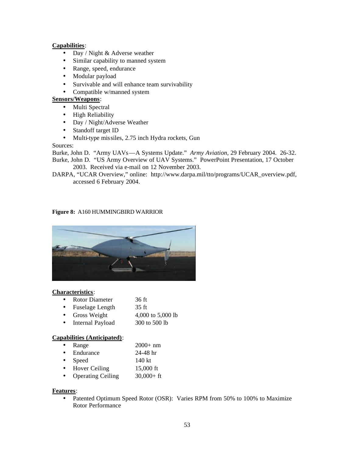- Day / Night & Adverse weather
- Similar capability to manned system
- Range, speed, endurance
- Modular payload
- Survivable and will enhance team survivability
- Compatible w/manned system

## **Sensors/Weapons**:

- Multi Spectral
- High Reliability
- Day / Night/Adverse Weather
- Standoff target ID
- Multi-type missiles, 2.75 inch Hydra rockets, Gun

## Sources:

Burke, John D. "Army UAVs—A Systems Update." *Army Aviation*, 29 February 2004. 26-32.

Burke, John D. "US Army Overview of UAV Systems." PowerPoint Presentation, 17 October 2003. Received via e-mail on 12 November 2003.

DARPA, "UCAR Overview," online: http://www.darpa.mil/tto/programs/UCAR\_overview.pdf, accessed 6 February 2004.

## **Figure 8:** A160 HUMMINGBIRD WARRIOR



#### **Characteristics**:

- Rotor Diameter 36 ft
- Fuselage Length 35 ft
- Gross Weight  $4,000$  to  $5,000$  lb
- Internal Payload 300 to 500 lb

## **Capabilities (Anticipated)**:

- Range 2000+ nm
- Endurance 24-48 hr
- Speed 140 kt
- Hover Ceiling 15,000 ft
- Operating Ceiling 30,000+ ft

## **Features**:

• Patented Optimum Speed Rotor (OSR): Varies RPM from 50% to 100% to Maximize Rotor Performance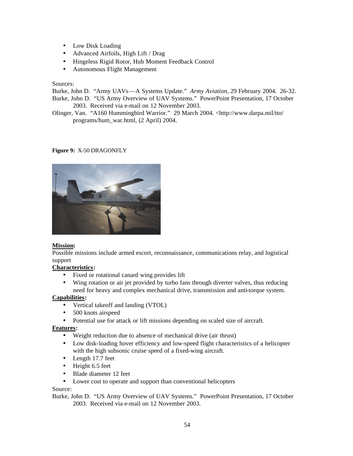- Low Disk Loading
- Advanced Airfoils, High Lift / Drag
- Hingeless Rigid Rotor, Hub Moment Feedback Control
- Autonomous Flight Management

Sources:

Burke, John D. "Army UAVs—A Systems Update." *Army Aviation*, 29 February 2004. 26-32. Burke, John D. "US Army Overview of UAV Systems." PowerPoint Presentation, 17 October 2003. Received via e-mail on 12 November 2003.

Olinger, Van. "A160 Hummingbird Warrior." 29 March 2004. <http://www.darpa.mil/tto/ programs/hum\_war.html, (2 April) 2004.

#### **Figure 9:** X-50 DRAGONFLY



## **Mission:**

Possible missions include armed escort, reconnaissance, communications relay, and logistical support

## **Characteristics:**

- Fixed or rotational canard wing provides lift
- Wing rotation or air jet provided by turbo fans through diverter valves, thus reducing need for heavy and complex mechanical drive, transmission and anti-torque system.

## **Capabilities:**

- Vertical takeoff and landing (VTOL)
- 500 knots airspeed
- Potential use for attack or lift missions depending on scaled size of aircraft.

## **Features:**

- Weight reduction due to absence of mechanical drive (air thrust)
- Low disk-loading hover efficiency and low-speed flight characteristics of a helicopter with the high subsonic cruise speed of a fixed-wing aircraft.
- Length 17.7 feet
- Height 6.5 feet
- Blade diameter 12 feet
- Lower cost to operate and support than conventional helicopters

#### Source:

Burke, John D. "US Army Overview of UAV Systems." PowerPoint Presentation, 17 October 2003. Received via e-mail on 12 November 2003.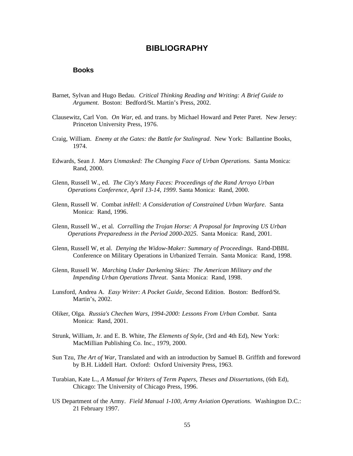## **BIBLIOGRAPHY**

## **Books**

- Barnet, Sylvan and Hugo Bedau. *Critical Thinking Reading and Writing: A Brief Guide to Argument*. Boston: Bedford/St. Martin's Press, 2002.
- Clausewitz, Carl Von. *On War*, ed. and trans. by Michael Howard and Peter Paret. New Jersey: Princeton University Press, 1976.
- Craig, William. *Enemy at the Gates: the Battle for Stalingrad*. New York: Ballantine Books, 1974.
- Edwards, Sean J. *Mars Unmasked: The Changing Face of Urban Operations.* Santa Monica: Rand, 2000.
- Glenn, Russell W., ed. *The City's Many Faces: Proceedings of the Rand Arroyo Urban Operations Conference, April 13-14, 1999*. Santa Monica: Rand, 2000.
- Glenn, Russell W. Combat *inHell: A Consideration of Constrained Urban Warfare*. Santa Monica: Rand, 1996.
- Glenn, Russell W., et al. *Corralling the Trojan Horse: A Proposal for Improving US Urban Operations Preparedness in the Period 2000-2025*. Santa Monica: Rand, 2001.
- Glenn, Russell W, et al. *Denying the Widow-Maker: Summary of Proceedings*. Rand-DBBL Conference on Military Operations in Urbanized Terrain. Santa Monica: Rand, 1998.
- Glenn, Russell W. *Marching Under Darkening Skies: The American Military and the Impending Urban Operations Threat*. Santa Monica: Rand, 1998.
- Lunsford, Andrea A. *Easy Writer: A Pocket Guide, S*econd Edition. Boston: Bedford/St. Martin's, 2002.
- Oliker, Olga. *Russia's Chechen Wars, 1994-2000: Lessons From Urban Combat*. Santa Monica: Rand, 2001.
- Strunk, William, Jr. and E. B. White, *The Elements of Style*, (3rd and 4th Ed), New York: MacMillian Publishing Co. Inc., 1979, 2000.
- Sun Tzu, *The Art of War*, Translated and with an introduction by Samuel B. Griffith and foreword by B.H. Liddell Hart. Oxford: Oxford University Press, 1963.
- Turabian, Kate L., *A Manual for Writers of Term Papers, Theses and Dissertations*, (6th Ed), Chicago: The University of Chicago Press, 1996.
- US Department of the Army. *Field Manual 1-100, Army Aviation Operations.* Washington D.C.: 21 February 1997.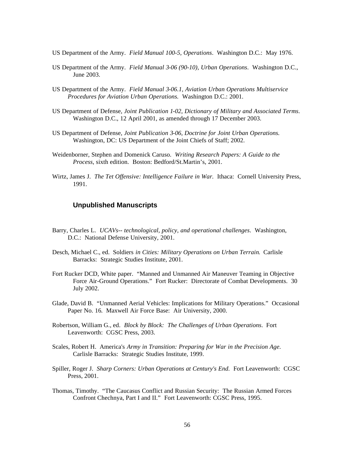- US Department of the Army. *Field Manual 100-5, Operations*. Washington D.C.: May 1976.
- US Department of the Army. *Field Manual 3-06 (90-10), Urban Operations*. Washington D.C., June 2003.
- US Department of the Army. *Field Manual 3-06.1, Aviation Urban Operations Multiservice Procedures for Aviation Urban Operations.* Washington D.C.: 2001.
- US Department of Defense, *Joint Publication 1-02, Dictionary of Military and Associated Terms*. Washington D.C., 12 April 2001, as amended through 17 December 2003.
- US Department of Defense, *Joint Publication 3-06, Doctrine for Joint Urban Operations.*  Washington, DC: US Department of the Joint Chiefs of Staff; 2002.
- Weidenborner, Stephen and Domenick Caruso. *Writing Research Papers: A Guide to the Process*, sixth edition. Boston: Bedford/St.Martin's, 2001.
- Wirtz, James J. *The Tet Offensive: Intelligence Failure in War.* Ithaca: Cornell University Press, 1991.

## **Unpublished Manuscripts**

- Barry, Charles L. *UCAVs-- technological, policy, and operational challenges*. Washington, D.C.: National Defense University, 2001.
- Desch, Michael C., ed. Soldiers *in Cities: Military Operations on Urban Terrain*. Carlisle Barracks: Strategic Studies Institute, 2001.
- Fort Rucker DCD, White paper. "Manned and Unmanned Air Maneuver Teaming in Objective Force Air-Ground Operations." Fort Rucker: Directorate of Combat Developments. 30 July 2002.
- Glade, David B. "Unmanned Aerial Vehicles: Implications for Military Operations." Occasional Paper No. 16*.* Maxwell Air Force Base: Air University, 2000.
- Robertson, William G., ed. *Block by Block: The Challenges of Urban Operations*. Fort Leavenworth: CGSC Press, 2003.
- Scales, Robert H. America's *Army in Transition: Preparing for War in the Precision Age*. Carlisle Barracks: Strategic Studies Institute, 1999.
- Spiller, Roger J. *Sharp Corners: Urban Operations at Century's End.* Fort Leavenworth: CGSC Press, 2001.
- Thomas, Timothy. "The Caucasus Conflict and Russian Security: The Russian Armed Forces Confront Chechnya, Part I and II." Fort Leavenworth: CGSC Press, 1995.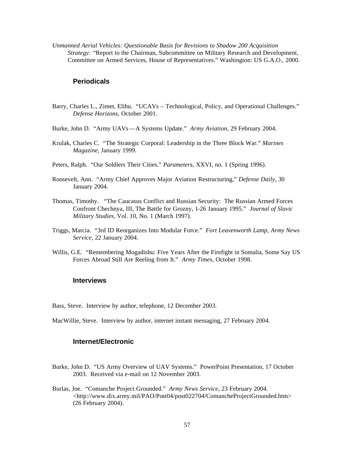*Unmanned Aerial Vehicles: Questionable Basis for Revisions to Shadow 200 Acquisition Strategy: "Report to the Chairman, Subcommittee on Military Research and Development,* Committee on Armed Services, House of Representatives." Washington: US G.A.O., 2000.

#### **Periodicals**

- Barry, Charles L., Zimet, Elihu. "UCAVs Technological, Policy, and Operational Challenges." *Defense Horizons*, October 2001.
- Burke, John D. "Army UAVs—A Systems Update." *Army Aviation*, 29 February 2004.
- Krulak, Charles C. "The Strategic Corporal: Leadership in the Three Block War." *Marines Magazine*, January 1999.
- Peters, Ralph. "Our Soldiers Their Cities." *Parameters*, XXVI, no. 1 (Spring 1996).
- Roosevelt, Ann. "Army Chief Approves Major Aviation Restructuring," *Defense Daily,* 30 January 2004.
- Thomas, Timothy. "The Caucasus Conflict and Russian Security: The Russian Armed Forces Confront Chechnya, III, The Battle for Grozny, 1-26 January 1995." *Journal of Slavic Military Studies*, Vol. 10, No. 1 (March 1997).
- Triggs, Marcia. "3rd ID Reorganizes Into Modular Force." *Fort Leavenworth Lamp*, *Army News Service*, 22 January 2004.
- Willis, G.E. "Remembering Mogadishu: Five Years After the Firefight in Somalia, Some Say US Forces Abroad Still Are Reeling from It." *Army Times*, October 1998.

## **Interviews**

Bass, Steve. Interview by author, telephone, 12 December 2003.

MacWillie, Steve. Interview by author, internet instant messaging, 27 February 2004.

## **Internet/Electronic**

- Burke, John D. "US Army Overview of UAV Systems." PowerPoint Presentation, 17 October 2003. Received via e-mail on 12 November 2003.
- Burlas, Joe. "Comanche Project Grounded." *Army News Service*, 23 February 2004. <http://www.dix.army.mil/PAO/Post04/post022704/ComancheProjectGrounded.htm> (26 February 2004).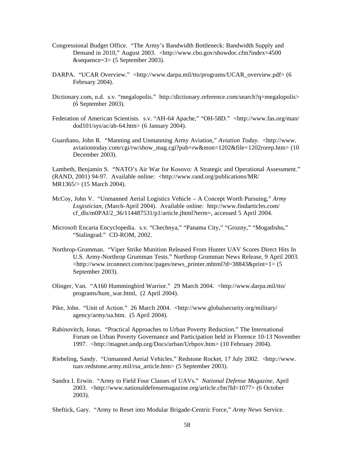- Congressional Budget Office. "The Army's Bandwidth Bottleneck: Bandwidth Supply and Demand in 2010," August 2003. <http://www.cbo.gov/showdoc.cfm?index=4500 &sequence=3> (5 September 2003).
- DARPA. "UCAR Overview." <http://www.darpa.mil/tto/programs/UCAR\_overview.pdf> (6 February 2004).
- Dictionary.com, n.d. s.v. "megalopolis." http://dictionary.reference.com/search?q=megalopolis> (6 September 2003).
- Federation of American Scientists. s.v. "AH-64 Apache," "OH-58D." <http://www.fas.org/man/ dod101/sys/ac/ah-64.htm> (6 January 2004).
- Guardiano, John R. "Manning and Unmanning Army Aviation," *Aviation Today.* <http://www. aviationtoday.com/cgi/rw/show\_mag.cgi?pub=rw&mon=1202&file=1202rorep.htm> (10 December 2003).

Lambeth, Benjamin S. "NATO's Air War for Kosovo: A Strategic and Operational Assessment." (RAND, 2001) 94-97. Available online: <http://www.rand.org/publications/MR/ MR1365/> (15 March 2004).

- McCoy, John V. "Unmanned Aerial Logistics Vehicle A Concept Worth Pursuing," *Army Logistician*, (March-April 2004). Available online: http://www.findarticles.com/ cf\_dls/m0PAI/2\_36/114487531/p1/article.jhtml?term=, accessed 5 April 2004.
- Microsoft Encarta Encyclopedia. s.v. "Chechnya," "Panama City," "Grozny," "Mogadishu," "Stalingrad." CD-ROM, 2002.
- Northrop-Grumman. "Viper Strike Munition Released From Hunter UAV Scores Direct Hits In U.S. Army-Northrop Grumman Tests." Northrop Grumman News Release, 9 April 2003. <http://www.irconnect.com/noc/pages/news\_printer.mhtml?d=38843&print=1> (5 September 2003).
- Olinger, Van. "A160 Hummingbird Warrior." 29 March 2004. <http://www.darpa.mil/tto/ programs/hum\_war.html, (2 April 2004).
- Pike, John. "Unit of Action." 26 March 2004. <http://www.globalsecurity.org/military/ agency/army/ua.htm. (5 April 2004).
- Rabinovitch, Jonas. "Practical Approaches to Urban Poverty Reduction." The International Forum on Urban Poverty Governance and Participation held in Florence 10-13 November 1997. <http://magnet.undp.org/Docs/urban/Urbpov.htm> (10 February 2004).
- Riebeling, Sandy. "Unmanned Aerial Vehicles." Redstone Rocket, 17 July 2002. <http://www. tuav.redstone.army.mil/rsa\_article.htm> (5 September 2003).
- Sandra I. Erwin. "Army to Field Four Classes of UAVs." *National Defense Magazine,* April 2003. <http://www.nationaldefensemagazine.org/article.cfm?Id=1077> (6 October 2003).

Sheftick, Gary. "Army to Reset into Modular Brigade-Centric Force," *Army News* Service.